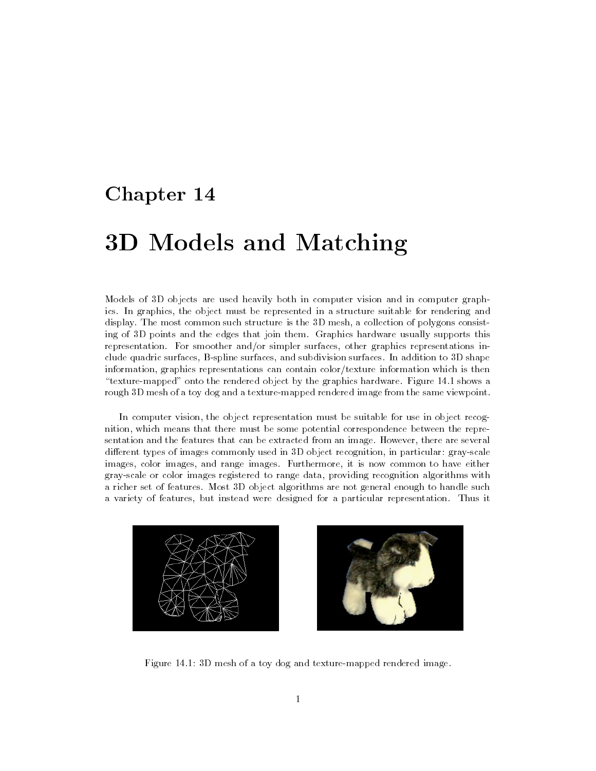# Chapter 14

# <u>. Sid and Matching and Matchings and Matching</u>

Models of 3D objects are used heavily both in computer vision and in computer graphics. In graphics, the object must be represented in a structure suitable for rendering and display. The most common such structure is the 3D mesh, a collection of polygons consisting of 3D points and the edges that join them. Graphics hardware usually supports this representation. For smoother and/or simpler surfaces, other graphics representations include quadric surfaces, B-spline surfaces, and subdivision surfaces. In addition to 3D shape information, graphics representations can contain color/texture information which is then \texture-mapped" onto the rendered object by the graphics hardware. Figure 14.1 shows a rough 3D mesh of a toy dog and a texture-mapped rendered image from the same viewpoint.

In computer vision, the object representation must be suitable for use in object recognition, which means that there must be some potential correspondence between the representation and the features that can be extracted from an image. However, there are several different types of images commonly used in  $3D$  object recognition, in particular: gray-scale images, color images, and range images. Furthermore, it is now common to have either gray-scale or color images registered to range data, providing recognition algorithms with a richer set of features. Most 3D object algorithms are not general enough to handle such a variety of features, but instead were designed for a particular representation. Thus it





Figure 14.1: 3D mesh of a toy dog and texture-mapped rendered image.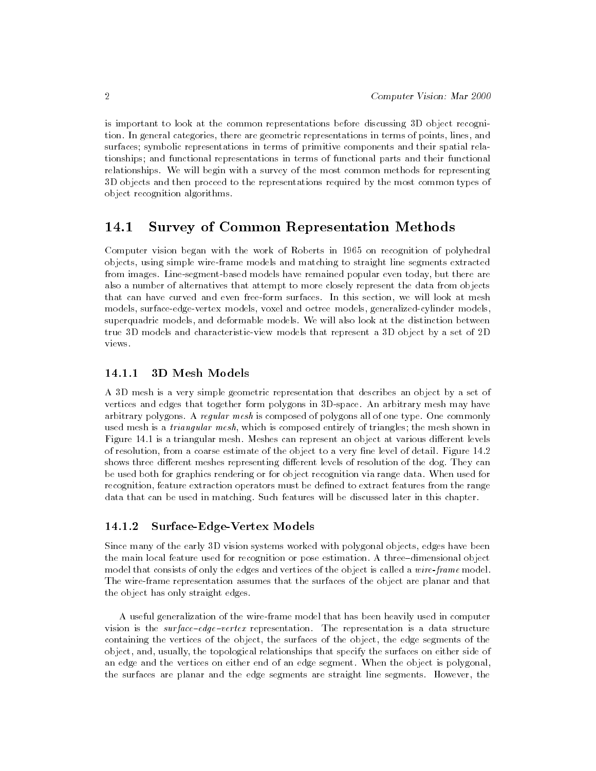is important to look at the common representations before discussing 3D object recognition. In general categories, there are geometric representations in terms of points, lines, and surfaces; symbolic representations in terms of primitive components and their spatial relationships; and functional representations in terms of functional parts and their functional relationships. We will begin with a survey of the most common methods for representing 3D objects and then proceed to the representations required by the most common types of object recognition algorithms.

#### 14.1 Survey of Common Representation Methods ---

Computer vision began with the work of Roberts in 1965 on recognition of polyhedral objects, using simple wire-frame models and matching to straight line segments extracted from images. Line-segment-based models have remained popular even today, but there are also a number of alternatives that attempt to more closely represent the data from objects that can have curved and even free-form surfaces. In this section, we will look at mesh models, surface-edge-vertex models, voxel and octree models, generalized-cylinder models, superquadric models, and deformable models. We will also look at the distinction between true 3D models and characteristic-view models that represent a 3D object by a set of 2D views.

#### 3D Mesh Models 14.1.1

A 3D mesh is a very simple geometric representation that describes an object by a set of vertices and edges that together form polygons in 3D-space. An arbitrary mesh may have arbitrary polygons. A regular mesh is composed of polygons all of one type. One commonly used mesh is a *triangular mesh*, which is composed entirely of triangles; the mesh shown in Figure 14.1 is a triangular mesh. Meshes can represent an object at various different levels of resolution, from a coarse estimate of the object to a very fine level of detail. Figure 14.2 shows three different meshes representing different levels of resolution of the dog. They can be used both for graphics rendering or for object recognition via range data. When used for recognition, feature extraction operators must be defined to extract features from the range data that can be used in matching. Such features will be discussed later in this chapter.

#### Surface-Edge-Vertex Models 14.1.2

Since many of the early 3D vision systems worked with polygonal objects, edges have been the main local feature used for recognition or pose estimation. A three-dimensional object model that consists of only the edges and vertices of the object is called a *wire-frame* model. The wire-frame representation assumes that the surfaces of the object are planar and that the object has only straight edges.

A useful generalization of the wire-frame model that has been heavily used in computer vision is the surface-edge-vertex representation. The representation is a data structure containing the vertices of the object, the surfaces of the object, the edge segments of the object, and, usually, the topological relationships that specify the surfaces on either side of an edge and the vertices on either end of an edge segment. When the object is polygonal, the surfaces are planar and the edge segments are straight line segments. However, the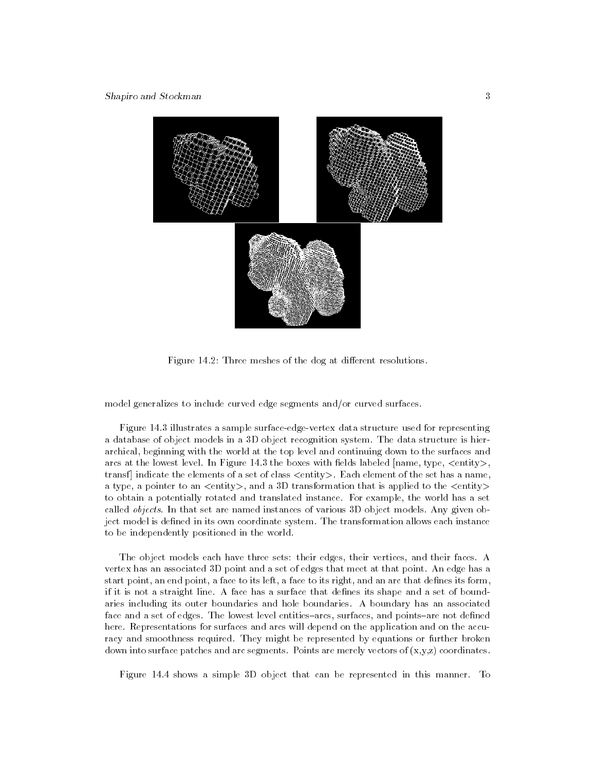

Figure 14.2: Three meshes of the dog at different resolutions.

model generalizes to include curved edge segments and/or curved surfaces.

Figure 14.3 illustrates a sample surface-edge-vertex data structure used for representing a database of object models in a 3D object recognition system. The data structure is hierarchical, beginning with the world at the top level and continuing down to the surfaces and arcs at the lowest level. In Figure 14.3 the boxes with fields labeled  $|name, type, \leq entity \rangle$ . transf] indicate the elements of a set of class <entity>. Each element of the set has a name, a type, a pointer to an <entity>, and a 3D transformation that is applied to the <entity> to obtain a potentially rotated and translated instance. For example, the world has a set called *objects*. In that set are named instances of various 3D object models. Any given object model is defined in its own coordinate system. The transformation allows each instance to be independently positioned in the world.

The object models each have three sets: their edges, their vertices, and their faces. A vertex has an associated 3D point and a set of edges that meet at that point. An edge has a start point, an end point, a face to its left, a face to its right, and an arc that defines its form, if it is not a straight line. A face has a surface that defines its shape and a set of boundaries including its outer boundaries and hole boundaries. A boundary has an associated face and a set of edges. The lowest level entities-arcs, surfaces, and points-are not defined here. Representations for surfaces and arcs will depend on the application and on the accuracy and smoothness required. They might be represented by equations or further broken down into surface patches and arc segments. Points are merely vectors of  $(x,y,z)$  coordinates.

Figure 14.4 shows a simple 3D object that can be represented in this manner. To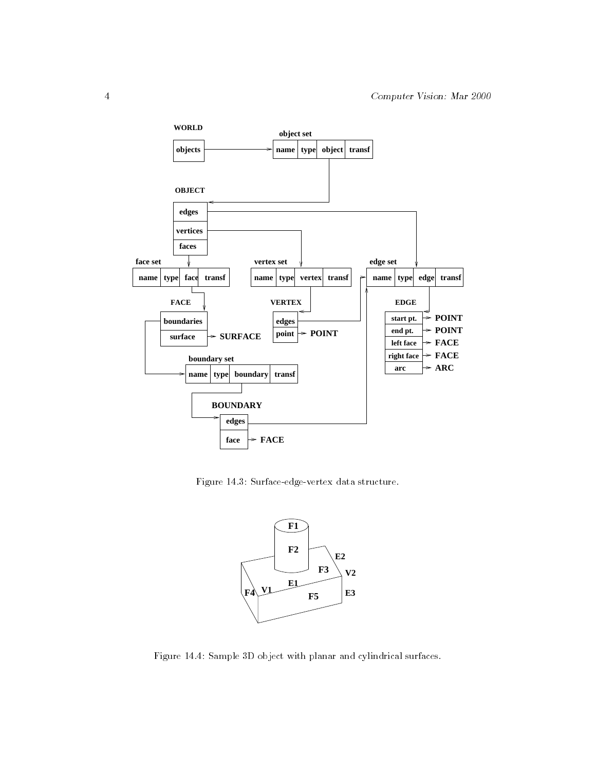

Figure 14.3: Surface-edge-vertex data structure.



Figure 14.4: Sample 3D object with planar and cylindrical surfaces.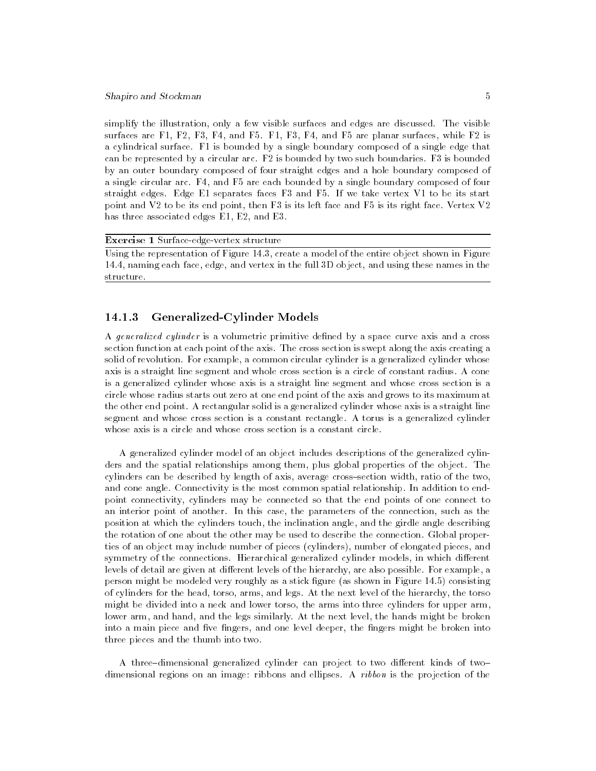simplify the illustration, only a few visible surfaces and edges are discussed. The visible surfaces are F1, F2, F3, F4, and F5. F1, F3, F4, and F5 are planar surfaces, while F2 is a cylindrical surface. F1 is bounded by a single boundary composed of a single edge that can be represented by a circular arc. F2 is bounded by two such boundaries. F3 is bounded by an outer boundary composed of four straight edges and a hole boundary composed of a single circular arc. F4, and F5 are each bounded by a single boundary composed of four straight edges. Edge E1 separates faces F3 and F5. If we take vertex V1 to be its start point and V2 to be its end point, then F3 is its left face and F5 is its right face. Vertex V2 has three associated edges E1, E2, and E3.

Exercise 1 Surface-edge-vertex structure

Using the representation of Figure 14.3, create a model of the entire object shown in Figure 14.4, naming each face, edge, and vertex in the full 3D object, and using these names in the structure.

# 14.1.3 Generalized-Cylinder Models

A generalized cylinder is a volumetric primitive defined by a space curve axis and a cross section function at each point of the axis. The cross section is swept along the axis creating a solid of revolution. For example, a common circular cylinder is a generalized cylinder whose axis is a straight line segment and whole cross section is a circle of constant radius. A cone is a generalized cylinder whose axis is a straight line segment and whose cross section is a circle whose radius starts out zero at one end point of the axis and grows to its maximum at the other end point. A rectangular solid is a generalized cylinder whose axis is a straight line segment and whose cross section is a constant rectangle. A torus is a generalized cylinder whose axis is a circle and whose cross section is a constant circle.

A generalized cylinder model of an object includes descriptions of the generalized cylinders and the spatial relationships among them, plus global properties of the object. The cylinders can be described by length of axis, average cross-section width, ratio of the two, and cone angle. Connectivity is the most common spatial relationship. In addition to endpoint connectivity, cylinders may be connected so that the end points of one connect to an interior point of another. In this case, the parameters of the connection, such as the position at which the cylinders touch, the inclination angle, and the girdle angle describing the rotation of one about the other may be used to describe the connection. Global properties of an object may include number of pieces (cylinders), number of elongated pieces, and symmetry of the connections. Hierarchical generalized cylinder models, in which different levels of detail are given at different levels of the hierarchy, are also possible. For example, a person might be modeled very roughly as a stick gure (as shown in Figure 14.5) consisting of cylinders for the head, torso, arms, and legs. At the next level of the hierarchy, the torso might be divided into a neck and lower torso, the arms into three cylinders for upper arm, lower arm, and hand, and the legs similarly. At the next level, the hands might be broken into a main piece and five fingers, and one level deeper, the fingers might be broken into three pieces and the thumb into two.

A three-dimensional generalized cylinder can project to two different kinds of twodimensional regions on an image: ribbons and ellipses. A *ribbon* is the projection of the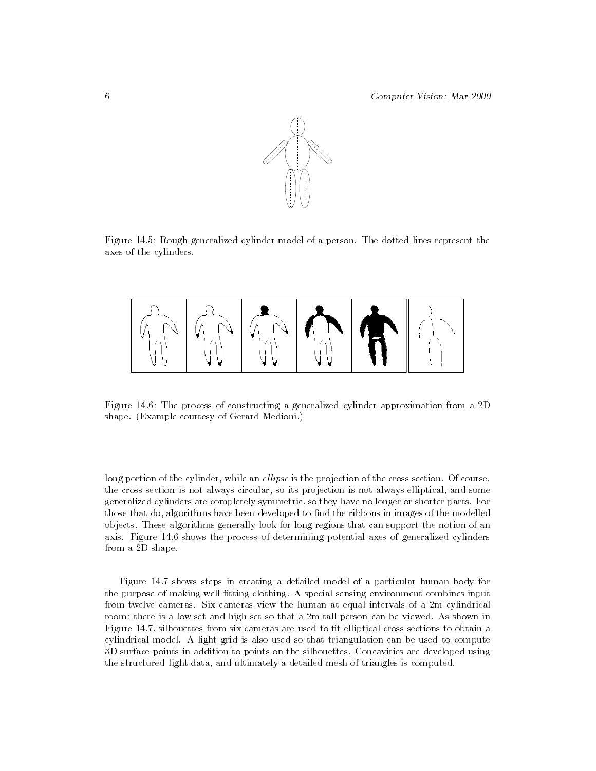

Figure 14.5: Rough generalized cylinder model of a person. The dotted lines represent the axes of the cylinders.



Figure 14.6: The process of constructing a generalized cylinder approximation from a 2D shape. (Example courtesy of Gerard Medioni.)

long portion of the cylinder, while an ellipse is the projection of the cross section. Of course, the cross section is not always circular, so its projection is not always elliptical, and some generalized cylinders are completely symmetric, so they have no longer or shorter parts. For those that do, algorithms have been developed to find the ribbons in images of the modelled objects. These algorithms generally look for long regions that can support the notion of an axis. Figure 14.6 shows the process of determining potential axes of generalized cylinders from a 2D shape.

Figure 14.7 shows steps in creating a detailed model of a particular human body for the purpose of making well-fitting clothing. A special sensing environment combines input from twelve cameras. Six cameras view the human at equal intervals of a 2m cylindrical room: there is a low set and high set so that a 2m tall person can be viewed. As shown in Figure 14.7, silhouettes from six cameras are used to fit elliptical cross sections to obtain a cylindrical model. A light grid is also used so that triangulation can be used to compute 3D surface points in addition to points on the silhouettes. Concavities are developed using the structured light data, and ultimately a detailed mesh of triangles is computed.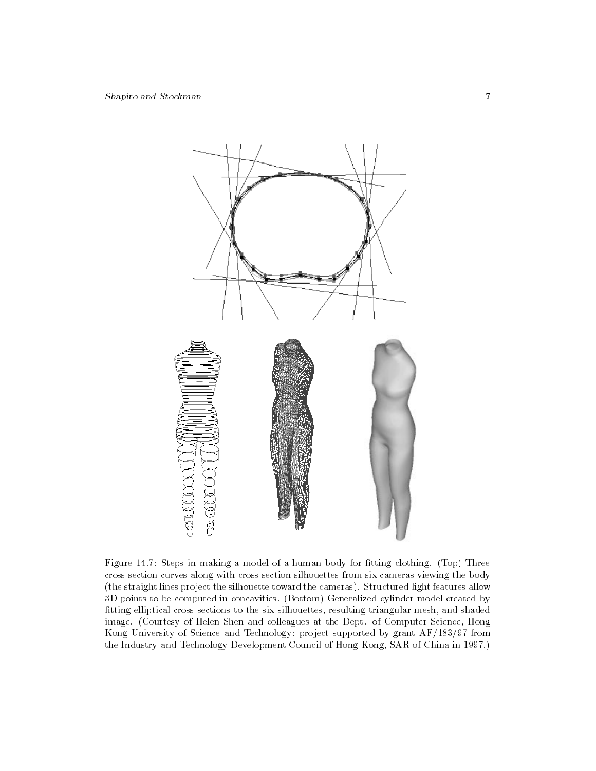

Figure 14.7: Steps in making a model of a human body for fitting clothing. (Top) Three cross section curves along with cross section silhouettes from six cameras viewing the body (the straight lines project the silhouette toward the cameras). Structured light features allow 3D points to be computed in concavities. (Bottom) Generalized cylinder model created by tting elliptical cross sections to the six silhouettes, resulting triangular mesh, and shaded image. (Courtesy of Helen Shen and colleagues at the Dept. of Computer Science, Hong Kong University of Science and Technology: project supported by grant AF/183/97 from the Industry and Technology Development Council of Hong Kong, SAR of China in 1997.)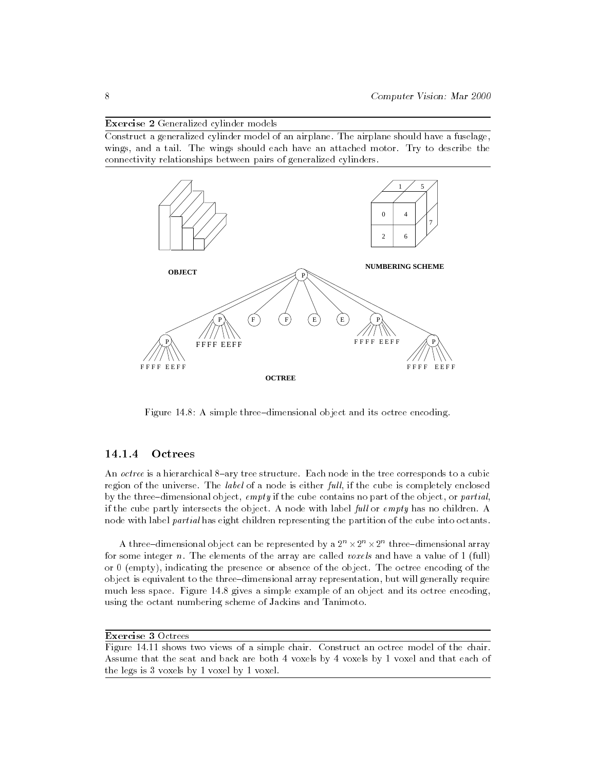Exercise 2 Generalized cylinder models

Construct a generalized cylinder model of an airplane. The airplane should have a fuselage, wings, and a tail. The wings should each have an attached motor. Try to describe the connectivity relationships between pairs of generalized cylinders.



Figure  $14.8$ : A simple three-dimensional object and its octree encoding.

# 14.1.4 Octrees

An *octree* is a hierarchical 8-ary tree structure. Each node in the tree corresponds to a cubic region of the universe. The *label* of a node is either  $full$ , if the cube is completely enclosed by the three-dimensional object, empty if the cube contains no part of the object, or partial, if the cube partly intersects the object. A node with label full or empty has no children. A node with label partial has eight children representing the partition of the cube into octants.

A three-dimensional object can be represented by a  $2^\circ \times 2^\circ \times 2^\circ$  three-dimensional array for some integer n. The elements of the array are called *voxels* and have a value of 1 (full) or 0 (empty), indicating the presence or absence of the object. The octree encoding of the object is equivalent to the three-dimensional array representation, but will generally require much less space. Figure 14.8 gives a simple example of an object and its octree encoding, using the octant numbering scheme of Jackins and Tanimoto.

```
Exercise 3 Octrees
```
Figure 14.11 shows two views of a simple chair. Construct an octree model of the chair. Assume that the seat and back are both 4 voxels by 4 voxels by 1 voxel and that each of the legs is 3 voxels by 1 voxel by 1 voxel.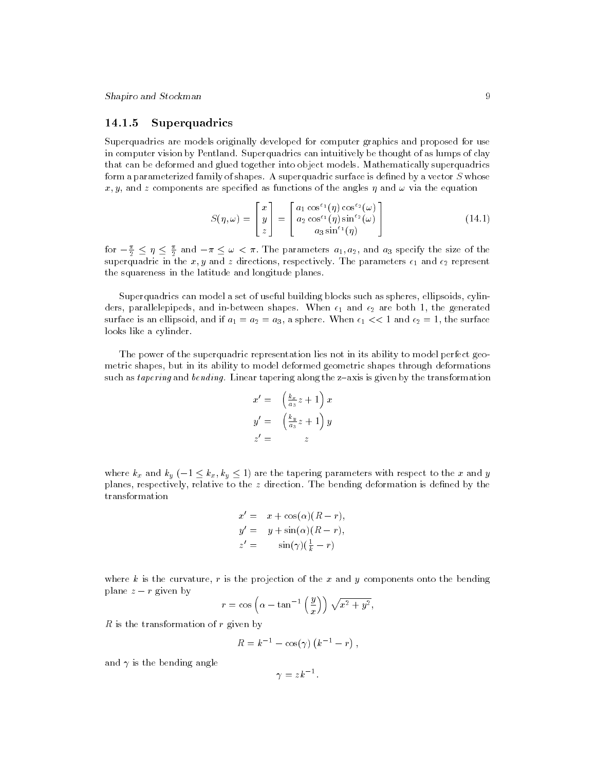# 14.1.5 Superquadrics

Superquadrics are models originally developed for computer graphics and proposed for use in computer vision by Pentland. Superquadrics can intuitively be thought of as lumps of clay that can be deformed and glued together into object models. Mathematically superquadrics form a parameterized family of shapes. A superquadric surface is defined by a vector  $S$  whose x, y, and z components are specified as functions of the angles  $\eta$  and  $\omega$  via the equation

$$
S(\eta,\omega) = \begin{bmatrix} x \\ y \\ z \end{bmatrix} = \begin{bmatrix} a_1 \cos^{\epsilon_1}(\eta) \cos^{\epsilon_2}(\omega) \\ a_2 \cos^{\epsilon_1}(\eta) \sin^{\epsilon_2}(\omega) \\ a_3 \sin^{\epsilon_1}(\eta) \end{bmatrix}
$$
(14.1)

for  $-\frac{n}{2} \leq \eta \leq \frac{n}{2}$  and  $-\pi \leq \omega < \pi$ . The parameters  $a_1, a_2$ , and  $a_3$  specify the size of the superquadric in the  $x, y$  and  $z$  directions, respectively. The parameters  $\epsilon_1$  and  $\epsilon_2$  represent the squareness in the latitude and longitude planes.

Superquadrics can model a set of useful building blocks such as spheres, ellipsoids, cylinders, parallelepipeds, and in-between shapes. When  $\epsilon_1$  and  $\epsilon_2$  are both 1, the generated surface is an ellipsoid, and if  $a_1 = a_2 = a_3$ , a sphere. When  $\epsilon_1 \ll 1$  and  $\epsilon_2 = 1$ , the surface looks like a cylinder.

The power of the superquadric representation lies not in its ability to model perfect geometric shapes, but in its ability to model deformed geometric shapes through deformations such as tapering and bending. Linear tapering along the  $z$ -axis is given by the transformation

$$
x' = \left(\frac{k_x}{a_3}z + 1\right)x
$$
  

$$
y' = \left(\frac{k_y}{a_3}z + 1\right)y
$$
  

$$
z' = z
$$

where  $k_x$  and  $k_y$  ( $-1 \leq k_x, k_y \leq 1$ ) are the tapering parameters with respect to the x and y planes, respectively, relative to the z direction. The bending deformation is defined by the

$$
x' = x + \cos(\alpha)(R - r),
$$
  
\n
$$
y' = y + \sin(\alpha)(R - r),
$$
  
\n
$$
z' = \sin(\gamma)(\frac{1}{k} - r)
$$

where k is the curvature, r is the projection of the x and y components onto the bending plane z <sup>r</sup> given by

$$
r = \cos\left(\alpha - \tan^{-1}\left(\frac{y}{x}\right)\right)\sqrt{x^2 + y^2},
$$

R is the transformation of  $r$  given by

$$
R = k^{-1} - \cos(\gamma) (k^{-1} - r) ,
$$

and  $\gamma$  is the bending angle

$$
\gamma=zk^{-1}.
$$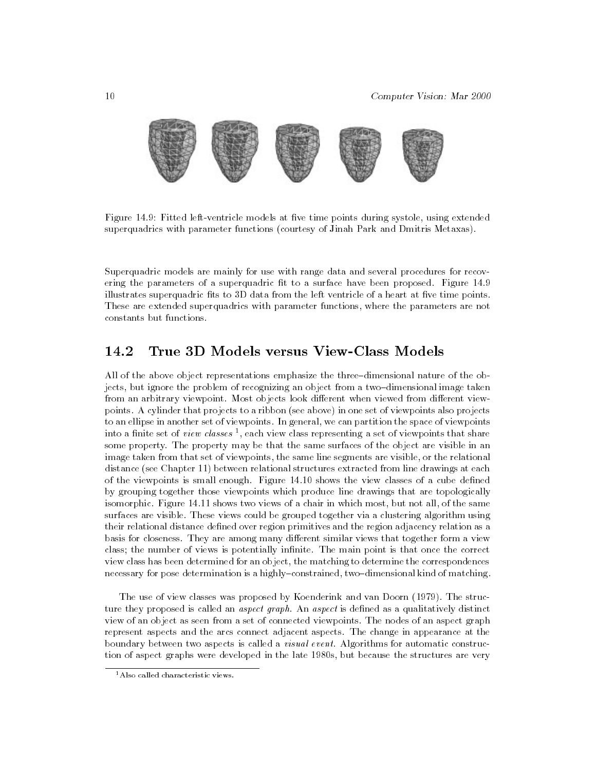

Figure 14.9: Fitted left-ventricle models at five time points during systole, using extended superquadrics with parameter functions (courtesy of Jinah Park and Dmitris Metaxas).

Superquadric models are mainly for use with range data and several procedures for recovering the parameters of a superquadric fit to a surface have been proposed. Figure 14.9 illustrates superquadric fits to 3D data from the left ventricle of a heart at five time points. These are extended superquadrics with parameter functions, where the parameters are not constants but functions.

#### 14.2True 3D Models versus View-Class Models

All of the above object representations emphasize the three-dimensional nature of the objects, but ignore the problem of recognizing an object from a two-dimensional image taken from an arbitrary viewpoint. Most objects look different when viewed from different viewpoints. A cylinder that projects to a ribbon (see above) in one set of viewpoints also projects to an ellipse in another set of viewpoints. In general, we can partition the space of viewpoints into a limite set of  $view\;classes$  , each view class representing a set of viewpoints that share  $$ some property. The property may be that the same surfaces of the object are visible in an image taken from that set of viewpoints, the same line segments are visible, or the relational distance (see Chapter 11) between relational structures extracted from line drawings at each of the viewpoints is small enough. Figure 14.10 shows the view classes of a cube defined by grouping together those viewpoints which produce line drawings that are topologically isomorphic. Figure 14.11 shows two views of a chair in which most, but not all, of the same surfaces are visible. These views could be grouped together via a clustering algorithm using their relational distance defined over region primitives and the region adjacency relation as a basis for closeness. They are among many different similar views that together form a view class; the number of views is potentially infinite. The main point is that once the correct view class has been determined for an object, the matching to determine the correspondences necessary for pose determination is a highly-constrained, two-dimensional kind of matching.

The use of view classes was proposed by Koenderink and van Doorn (1979). The structure they proposed is called an *aspect graph*. An *aspect* is defined as a qualitatively distinct view of an object as seen from a set of connected viewpoints. The nodes of an aspect graph represent aspects and the arcs connect adjacent aspects. The change in appearance at the boundary between two aspects is called a visual event. Algorithms for automatic construction of aspect graphs were developed in the late 1980s, but because the structures are very

<sup>&</sup>lt;sup>1</sup> Also called characteristic views.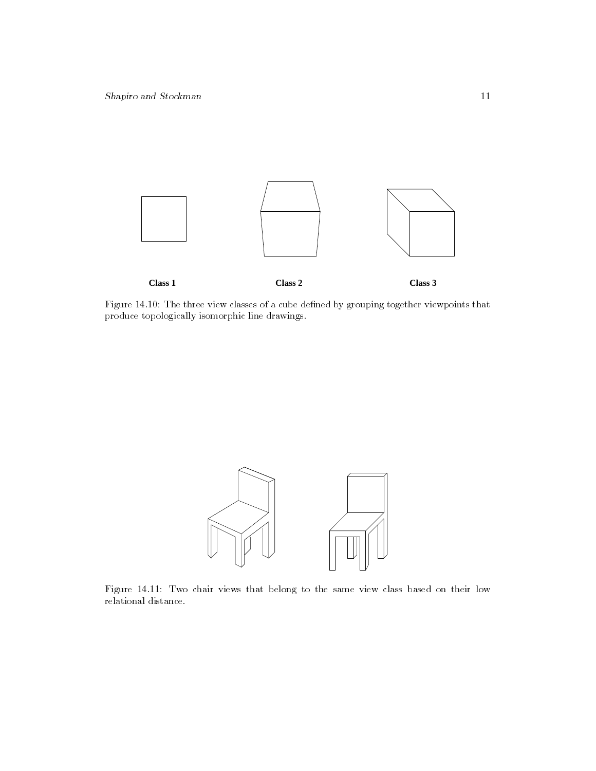

Figure 14.10: The three view classes of a cube dened by grouping together viewpoints that produce topologically isomorphic line drawings.



Figure 14.11: Two chair views that belong to the same view class based on their low relational distance.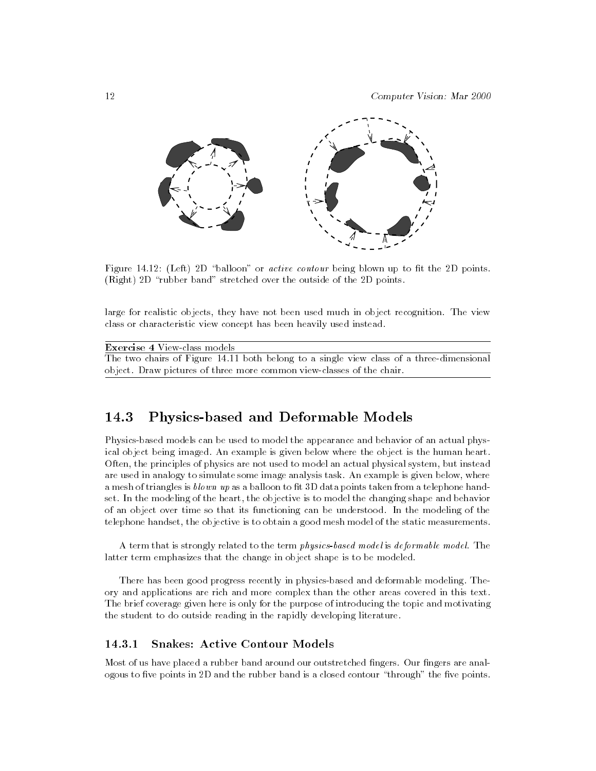

Figure 14.12: (Left) 2D "balloon" or *active contour* being blown up to fit the 2D points. (Right) 2D "rubber band" stretched over the outside of the 2D points.

large for realistic objects, they have not been used much in object recognition. The view class or characteristic view concept has been heavily used instead.

| <b>Exercise 4 View-class models</b>                                                      |
|------------------------------------------------------------------------------------------|
| The two chairs of Figure 14.11 both belong to a single view class of a three-dimensional |
| object. Draw pictures of three more common view-classes of the chair.                    |

#### 14.3Physics-based and Deformable Models

Physics-based models can be used to model the appearance and behavior of an actual physical object being imaged. An example is given below where the object is the human heart. Often, the principles of physics are not used to model an actual physical system, but instead are used in analogy to simulate some image analysis task. An example is given below, where a mesh of triangles is  $blown$  up as a balloon to fit 3D data points taken from a telephone handset. In the modeling of the heart, the objective is to model the changing shape and behavior of an object over time so that its functioning can be understood. In the modeling of the telephone handset, the objective is to obtain a good mesh model of the static measurements.

A term that is strongly related to the term physics-based model is deformable model. The latter term emphasizes that the change in object shape is to be modeled.

There has been good progress recently in physics-based and deformable modeling. Theory and applications are rich and more complex than the other areas covered in this text. The brief coverage given here is only for the purpose of introducing the topic and motivating the student to do outside reading in the rapidly developing literature.

#### **Snakes: Active Contour Models** 14.3.1

Most of us have placed a rubber band around our outstretched fingers. Our fingers are analogous to five points in 2D and the rubber band is a closed contour "through" the five points.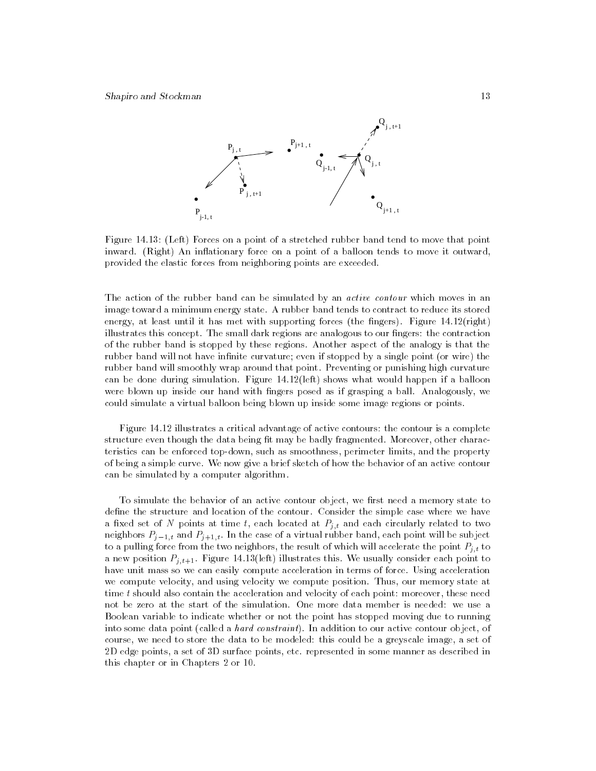

Figure 14.13: (Left) Forces on a point of a stretched rubber band tend to move that point inward. (Right) An inflationary force on a point of a balloon tends to move it outward, provided the elastic forces from neighboring points are exceeded.

The action of the rubber band can be simulated by an *active contour* which moves in an image toward a minimum energy state. A rubber band tends to contract to reduce its stored energy, at least until it has met with supporting forces (the fingers). Figure  $14.12$ (right) illustrates this concept. The small dark regions are analogous to our fingers: the contraction of the rubber band is stopped by these regions. Another aspect of the analogy is that the rubber band will not have infinite curvature; even if stopped by a single point (or wire) the rubber band will smoothly wrap around that point. Preventing or punishing high curvature can be done during simulation. Figure 14.12(left) shows what would happen if a balloon were blown up inside our hand with fingers posed as if grasping a ball. Analogously, we could simulate a virtual balloon being blown up inside some image regions or points.

Figure 14.12 illustrates a critical advantage of active contours: the contour is a complete structure even though the data being fit may be badly fragmented. Moreover, other characteristics can be enforced top-down, such as smoothness, perimeter limits, and the property of being a simple curve. We now give a brief sketch of how the behavior of an active contour can be simulated by a computer algorithm.

To simulate the behavior of an active contour object, we first need a memory state to define the structure and location of the contour. Consider the simple case where we have a core set of the points at time t, each located at Pj;t and each circularly related to two neighbors  $P_{j-1,t}$  and  $P_{j+1,t}$ . In the case of a virtual rubber band, each point will be subject to a pulling force from the two neighbors, the result of which will accelerate the point Pj;t to a new position  $P_{j,t+1}$ . Figure 14.13(left) illustrates this. We usually consider each point to have unit mass so we can easily compute acceleration in terms of force. Using acceleration we compute velocity, and using velocity we compute position. Thus, our memory state at time t should also contain the acceleration and velocity of each point: moreover, these need not be zero at the start of the simulation. One more data member is needed: we use a Boolean variable to indicate whether or not the point has stopped moving due to running into some data point (called a *hard constraint*). In addition to our active contour object, of course, we need to store the data to be modeled: this could be a greyscale image, a set of 2D edge points, a set of 3D surface points, etc. represented in some manner as described in this chapter or in Chapters 2 or 10.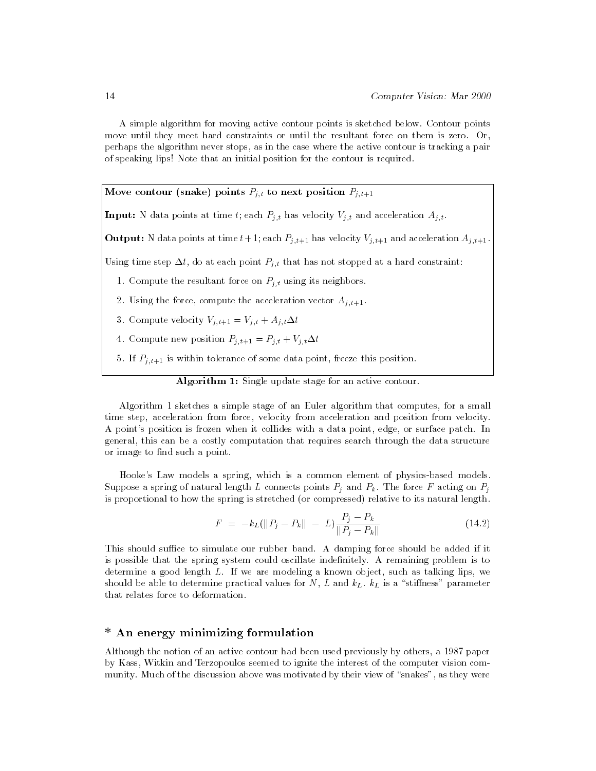A simple algorithm for moving active contour points is sketched below. Contour points move until they meet hard constraints or until the resultant force on them is zero. Or, perhaps the algorithm never stops, as in the case where the active contour is tracking a pair of speaking lips! Note that an initial position for the contour is required.

Move contour (snake) points Pj;t to next position Pj;t+1

Input: N data points at time t; each Pj;t has velocity Vj;t and acceleration Aj;t.

**Output:** N data points at time  $t+1$ ; each  $P_{j,t+1}$  has velocity  $V_{j,t+1}$  and acceleration  $A_{j,t+1}$ .

 $U$ sing time step that that has not step that has not stopped at a hard constraint:  $U$ 

- 1. Compute the resultant force on Pj;t using its neighbors.
- 2. Using the force, compute the acceleration vector  $A_{j,t+1}$ .
- 3. Compute velocity  $V_{j,t+1} = V_{j,t} + A_{j,t} \Delta t$
- 4. Compute new position  $P_{j,t+1} = P_{j,t} + V_{j,t} \Delta t$
- 5. If  $P_{i,t+1}$  is within tolerance of some data point, freeze this position.

Algorithm 1: Single update stage for an active contour.

Algorithm 1 sketches a simple stage of an Euler algorithm that computes, for a small time step, acceleration from force, velocity from acceleration and position from velocity. A point's position is frozen when it collides with a data point, edge, or surface patch. In general, this can be a costly computation that requires search through the data structure or image to find such a point.

Hooke's Law models a spring, which is a common element of physics-based models. Suppose a spring of natural length L connects points Pj and Pk. The force <sup>F</sup> acting on Pj is proportional to how the spring is stretched (or compressed) relative to its natural length.

$$
F = -k_L(||P_j - P_k|| - L)\frac{P_j - P_k}{||P_j - P_k||}
$$
\n(14.2)

 $F = -k_L(\|P_j - P_k\| - L) \frac{r}{\|P_j - P_k\|}$  (14.2)<br>This should suffice to simulate our rubber band. A damping force should be added if it is possible that the spring system could oscillate indenitely. A remaining problem is to determine a good length L. If we are modeling a known object, such as talking lips, we showled be able to determine practical values for  $\mathbf{L}$  and  $\mathbf{L}$ that relates force to deformation.

# \* An energy minimizing formulation

Although the notion of an active contour had been used previously by others, a 1987 paper by Kass, Witkin and Terzopoulos seemed to ignite the interest of the computer vision com munity. Much of the discussion above was motivated by their view of "snakes", as they were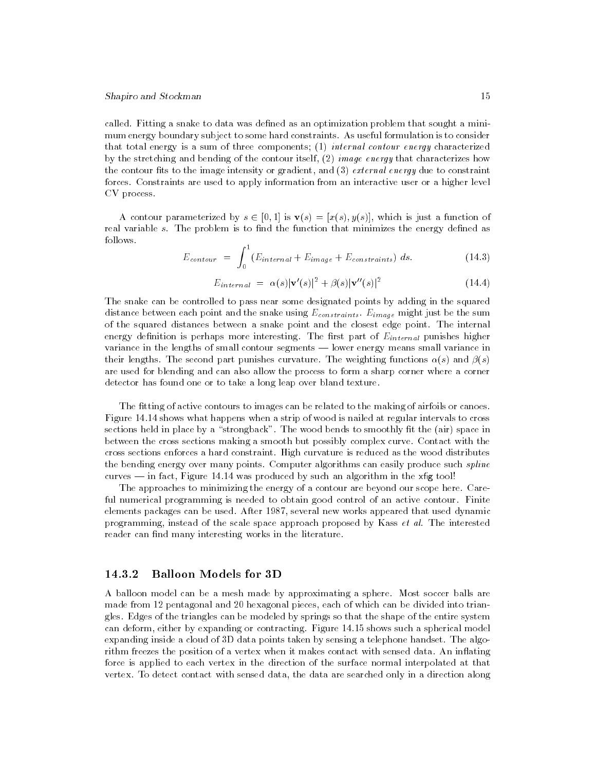called. Fitting a snake to data was defined as an optimization problem that sought a minimum energy boundary subject to some hard constraints. As useful formulation is to consider that total energy is a sum of three components; (1) internal contour energy characterized by the stretching and bending of the contour itself,  $(2)$  image energy that characterizes how the contour fits to the image intensity or gradient, and  $(3)$  external energy due to constraint forces. Constraints are used to apply information from an interactive user or a higher level CV process.

A contour parameterized by  $s \in [0, 1]$  is  $\mathbf{v}(s) = [x(s), y(s)]$ , which is just a function of real variable s. The problem is to find the function that minimizes the energy defined as follows.

$$
E_{contour} = \int_0^1 (E_{internal} + E_{image} + E_{constraints}) ds.
$$
 (14.3)

$$
E_{internal} = \alpha(s)|\mathbf{v}'(s)|^2 + \beta(s)|\mathbf{v}''(s)|^2 \qquad (14.4)
$$

The snake can be controlled to pass near some designated points by adding in the squared distance between each point and the snake using  $\Box$  the summarization is the summarization of  $\Box$ of the squared distances between a snake point and the closest edge point. The internal energy density is perfect that interesting more interesting. The contraction of  $\Gamma$ variance in the lengths of small contour segments - lower energy means small variance in their lengths. The second part punishes curvature. The weighting functions  $\alpha(s)$  and  $\beta(s)$ are used for blending and can also allow the process to form a sharp corner where a corner detector has found one or to take a long leap over bland texture.

The fitting of active contours to images can be related to the making of airfoils or canoes. Figure 14.14 shows what happens when a strip of wood is nailed at regular intervals to cross sections held in place by a "strongback". The wood bends to smoothly fit the (air) space in between the cross sections making a smooth but possibly complex curve. Contact with the cross sections enforces a hard constraint. High curvature is reduced as the wood distributes the bending energy over many points. Computer algorithms can easily produce such *spline*  $curves$  — in fact, Figure 14.14 was produced by such an algorithm in the xfig tool!

The approaches to minimizing the energy of a contour are beyond our scope here. Careful numerical programming is needed to obtain good control of an active contour. Finite elements packages can be used. After 1987, several new works appeared that used dynamic programming, instead of the scale space approach proposed by Kass et al. The interested reader can find many interesting works in the literature.

### 14.3.2 Balloon Models for 3D

A balloon model can be a mesh made by approximating a sphere. Most soccer balls are made from 12 pentagonal and 20 hexagonal pieces, each of which can be divided into triangles. Edges of the triangles can be modeled by springs so that the shape of the entire system can deform, either by expanding or contracting. Figure 14.15 shows such a spherical model expanding inside a cloud of 3D data points taken by sensing a telephone handset. The algorithm freezes the position of a vertex when it makes contact with sensed data. An inflating force is applied to each vertex in the direction of the surface normal interpolated at that vertex. To detect contact with sensed data, the data are searched only in a direction along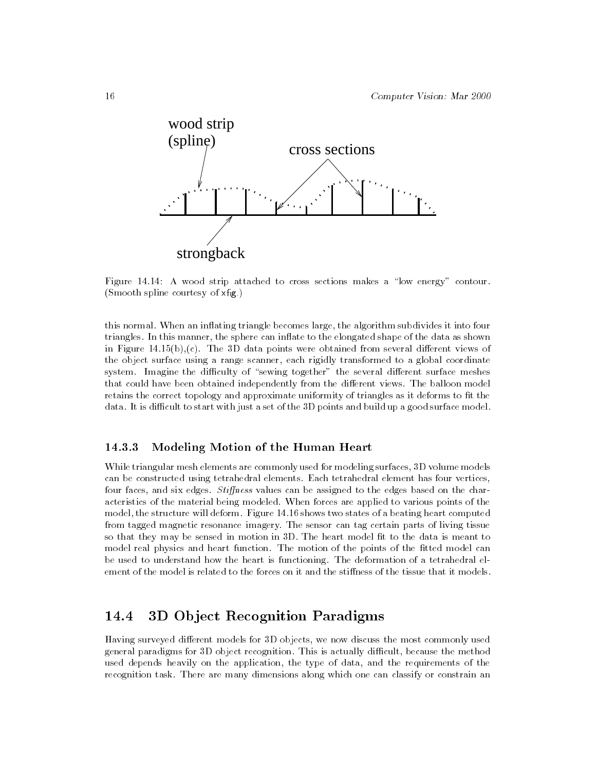

Figure  $14.14$ : A wood strip attached to cross sections makes a "low energy" contour. (Smooth spline courtesy of  $xf(g)$ )

this normal. When an inflating triangle becomes large, the algorithm subdivides it into four triangles. In this manner, the sphere can inflate to the elongated shape of the data as shown in Figure  $14.15(b)$ ,(c). The 3D data points were obtained from several different views of the object surface using a range scanner, each rigidly transformed to a global coordinate system. Imagine the difficulty of "sewing together" the several different surface meshes that could have been obtained independently from the different views. The balloon model retains the correct topology and approximate uniformity of triangles as it deforms to fit the data. It is difficult to start with just a set of the 3D points and build up a good surface model.

# 14.3.3 Modeling Motion of the Human Heart

While triangular mesh elements are commonly used for modeling surfaces, 3D volume models can be constructed using tetrahedral elements. Each tetrahedral element has four vertices, four faces, and six edges. Stiffness values can be assigned to the edges based on the characteristics of the material being modeled. When forces are applied to various points of the model, the structure will deform. Figure 14.16 shows two states of a beating heart computed from tagged magnetic resonance imagery. The sensor can tag certain parts of living tissue so that they may be sensed in motion in 3D. The heart model fit to the data is meant to model real physics and heart function. The motion of the points of the fitted model can be used to understand how the heart is functioning. The deformation of a tetrahedral element of the model is related to the forces on it and the stiffness of the tissue that it models.

#### 14.43D Ob ject Recognition Paradigms

Having surveyed different models for 3D objects, we now discuss the most commonly used general paradigms for 3D object recognition. This is actually difficult, because the method used depends heavily on the application, the type of data, and the requirements of the recognition task. There are many dimensions along which one can classify or constrain an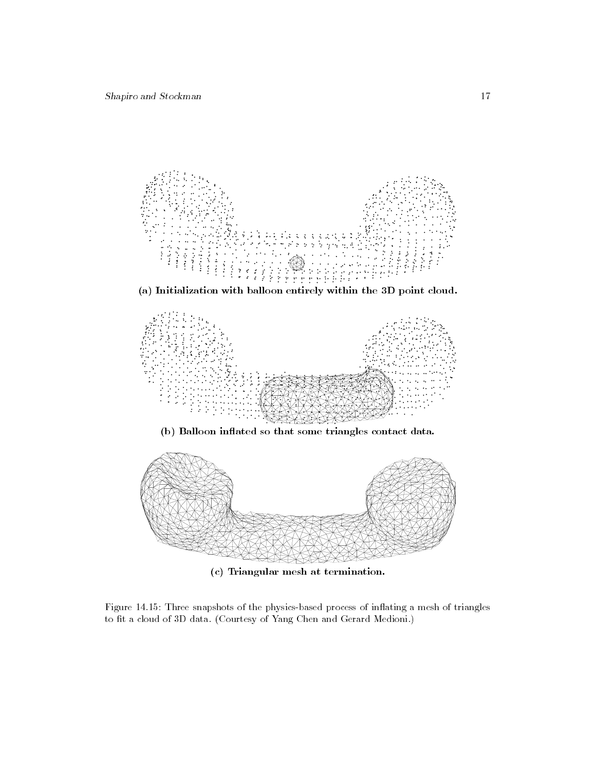

(a) Initialization with balloon entirely within the 3D point cloud.



(b) Balloon in
ated so that some triangles contact data.



(c) Triangular mesh at termination.

Figure 14.15: Three snapshots of the physics-based process of inflating a mesh of triangles to fit a cloud of 3D data. (Courtesy of Yang Chen and Gerard Medioni.)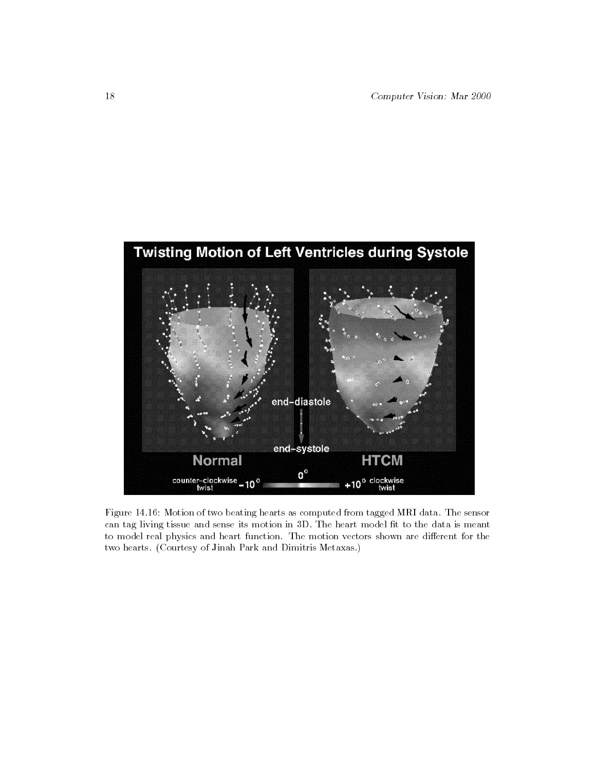

Figure 14.16: Motion of two beating hearts as computed from tagged MRI data. The sensor can tag living tissue and sense its motion in 3D. The heart model fit to the data is meant to model real physics and heart function. The motion vectors shown are different for the two hearts. (Courtesy of Jinah Park and Dimitris Metaxas.)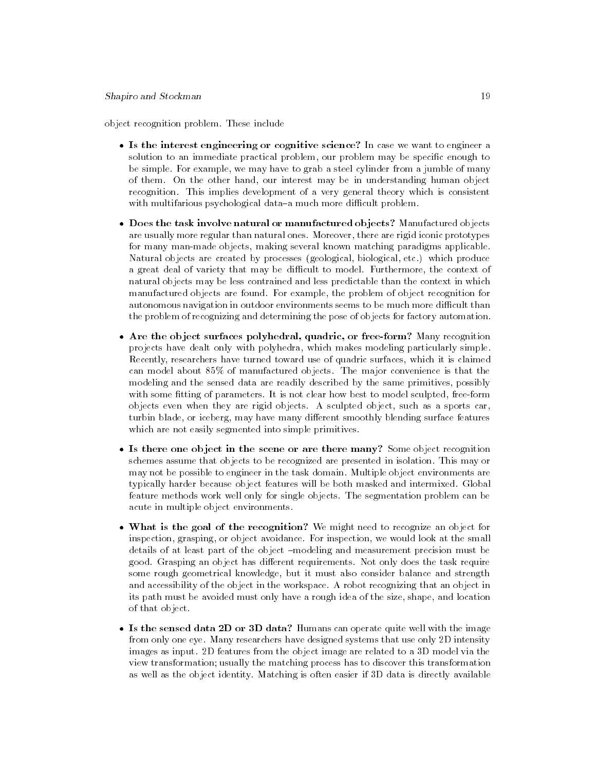object recognition problem. These include

- $\sim$  solution to an immediate practical problem, our problem may be specific enough to be simple. For example, we may have to grab a steel cylinder from a jumble of many of them. On the other hand, our interest may be in understanding human object recognition. This implies development of a very general theory which is consistent with multifarious psychological data-a much more difficult problem.
- are usually more regular than natural ones. Moreover, there are rigid iconic prototypes for many man-made objects, making several known matching paradigms applicable. Natural objects are created by processes (geological, biological, etc.) which produce a great deal of variety that may be difficult to model. Furthermore, the context of natural objects may be less contrained and less predictable than the context in which manufactured objects are found. For example, the problem of object recognition for autonomous navigation in outdoor environments seems to be much more difficult than the problem of recognizing and determining the pose of objects for factory automation.
- projects have dealt only with polyhedra, which makes modeling particularly simple. Recently, researchers have turned toward use of quadric surfaces, which it is claimed can model about 85% of manufactured objects. The major convenience is that the modeling and the sensed data are readily described by the same primitives, possibly with some fitting of parameters. It is not clear how best to model sculpted, free-form objects even when they are rigid objects. A sculpted object, such as a sports car, turbin blade, or iceberg, may have many different smoothly blending surface features which are not easily segmented into simple primitives.
- schemes assume that objects to be recognized are presented in isolation. This may or may not be possible to engineer in the task domain. Multiple object environments are typically harder because object features will be both masked and intermixed. Global feature methods work well only for single objects. The segmentation problem can be acute in multiple object environments.
- inspection, grasping, or object avoidance. For inspection, we would look at the small details of at least part of the object -modeling and measurement precision must be good. Grasping an object has different requirements. Not only does the task require some rough geometrical knowledge, but it must also consider balance and strength and accessibility of the object in the workspace. A robot recognizing that an object in its path must be avoided must only have a rough idea of the size, shape, and location of that object.
- from only one eye. Many researchers have designed systems that use only 2D intensity images as input. 2D features from the object image are related to a 3D model via the view transformation; usually the matching process has to discover this transformation as well as the object identity. Matching is often easier if 3D data is directly available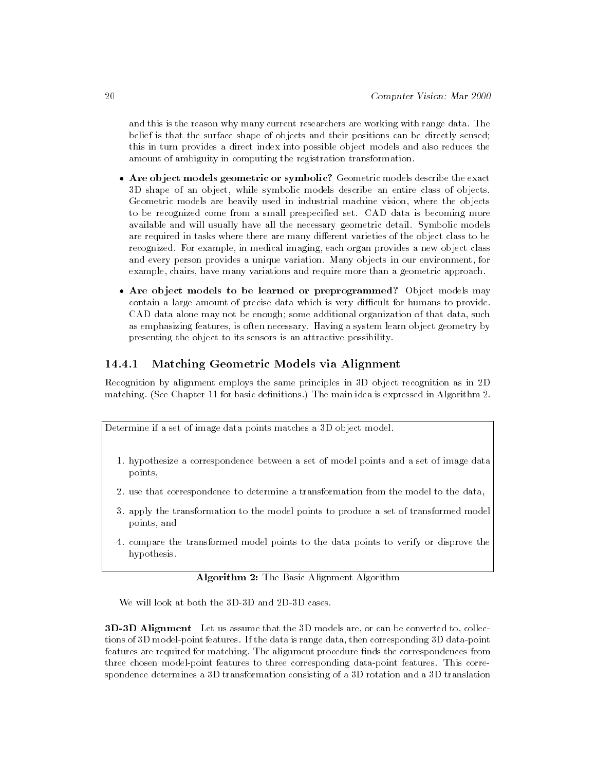and this is the reason why many current researchers are working with range data. The belief is that the surface shape of objects and their positions can be directly sensed; this in turn provides a direct index into possible object models and also reduces the amount of ambiguity in computing the registration transformation.

- 3D shape of an object, while symbolic models describe an entire class of objects. Geometric models are heavily used in industrial machine vision, where the objects to be recognized come from a small prespecified set. CAD data is becoming more available and will usually have all the necessary geometric detail. Symbolic models are required in tasks where there are many different varieties of the object class to be recognized. For example, in medical imaging, each organ provides a new object class and every person provides a unique variation. Many objects in our environment, for example, chairs, have many variations and require more than a geometric approach.
- contain a large amount of precise data which is very difficult for humans to provide. CAD data alone may not be enough; some additional organization of that data, such as emphasizing features, is often necessary. Having a system learn object geometry by presenting the object to its sensors is an attractive possibility.

#### 14.4.1 Matching Geometric Models via Alignment

Recognition by alignment employs the same principles in 3D object recognition as in 2D matching. (See Chapter 11 for basic definitions.) The main idea is expressed in Algorithm 2.

Determine if a set of image data points matches a 3D object model.

- 1. hypothesize a correspondence between a set of model points and a set of image data points,
- 2. use that correspondence to determine a transformation from the model to the data,
- 3. apply the transformation to the model points to produce a set of transformed model points, and
- 4. compare the transformed model points to the data points to verify or disprove the hypothesis.

Algorithm 2: The Basic Alignment Algorithm

We will look at both the 3D-3D and 2D-3D cases.

**3D-3D Alignment** Let us assume that the 3D models are, or can be converted to, collections of 3D model-point features. If the data is range data, then corresponding 3D data-point features are required for matching. The alignment procedure finds the correspondences from three chosen model-point features to three corresponding data-point features. This correspondence determines a 3D transformation consisting of a 3D rotation and a 3D translation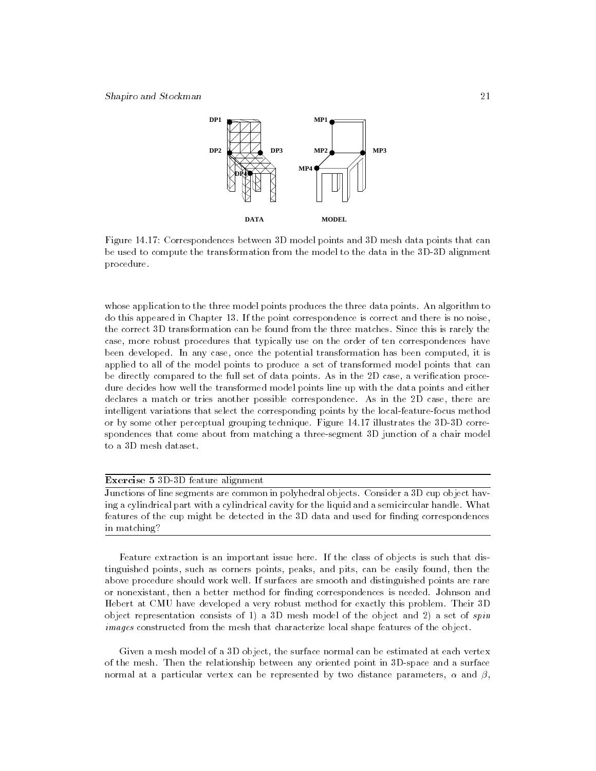

Figure 14.17: Correspondences between 3D model points and 3D mesh data points that can be used to compute the transformation from the model to the data in the 3D-3D alignment procedure.

whose application to the three model points produces the three data points. An algorithm to do this appeared in Chapter 13. If the point correspondence is correct and there is no noise, the correct 3D transformation can be found from the three matches. Since this is rarely the case, more robust procedures that typically use on the order of ten correspondences have been developed. In any case, once the potential transformation has been computed, it is applied to all of the model points to produce a set of transformed model points that can be directly compared to the full set of data points. As in the 2D case, a verification procedure decides how well the transformed model points line up with the data points and either declares a match or tries another possible correspondence. As in the 2D case, there are intelligent variations that select the corresponding points by the local-feature-focus method or by some other perceptual grouping technique. Figure 14.17 illustrates the 3D-3D correspondences that come about from matching a three-segment 3D junction of a chair model to a 3D mesh dataset.

#### Exercise 5 3D-3D feature alignment

Junctions of line segments are common in polyhedral objects. Consider a 3D cup object having a cylindrical part with a cylindrical cavity for the liquid and a semicircular handle. What features of the cup might be detected in the 3D data and used for finding correspondences in matching?

Feature extraction is an important issue here. If the class of objects is such that distinguished points, such as corners points, peaks, and pits, can be easily found, then the above procedure should work well. If surfaces are smooth and distinguished points are rare or nonexistant, then a better method for finding correspondences is needed. Johnson and Hebert at CMU have developed a very robust method for exactly this problem. Their 3D object representation consists of 1) a 3D mesh model of the object and 2) a set of  $spin$ images constructed from the mesh that characterize local shape features of the object.

Given a mesh model of a 3D object, the surface normal can be estimated at each vertex of the mesh. Then the relationship between any oriented point in 3D-space and a surface normal at a particular vertex can be represented by two distance parameters,  $\alpha$  and  $\beta$ ,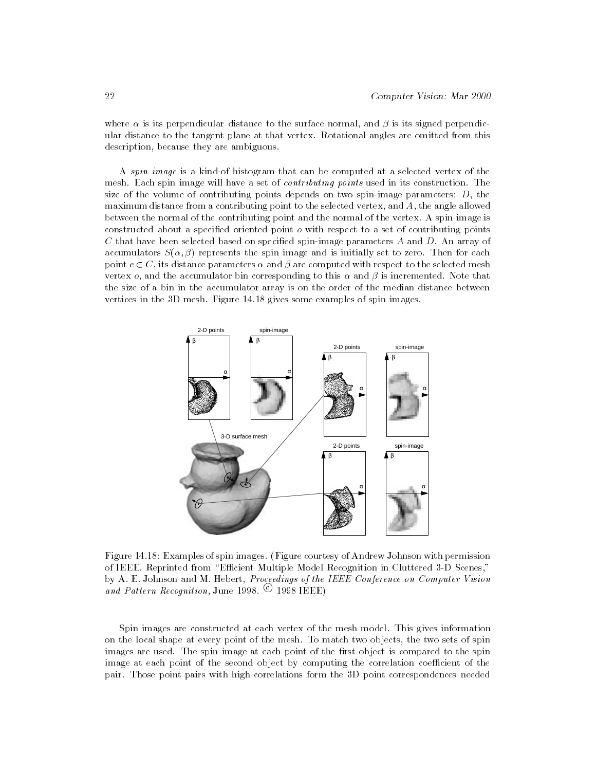where  $\alpha$  is its perpendicular distance to the surface normal, and  $\beta$  is its signed perpendicular distance to the tangent plane at that vertex. Rotational angles are omitted from this description, because they are ambiguous.

A spin image is a kind-of histogram that can be computed at a selected vertex of the mesh. Each spin image will have a set of contributing points used in its construction. The size of the volume of contributing points depends on two spin-image parameters:  $D$ , the maximum distance from a contributing point to the selected vertex, and A, the angle allowed between the normal of the contributing point and the normal of the vertex. A spin image is constructed about a specied oriented point o with respect to a set of contributing points C that have been selected based on specified spin-image parameters  $A$  and  $D$ . An array of accumulators  $S(\alpha, \beta)$  represents the spin image and is initially set to zero. Then for each point  $c \in C$ , its distance parameters  $\alpha$  and  $\beta$  are computed with respect to the selected mesh vertex *o*, and the accumulator bin corresponding to this  $\alpha$  and  $\beta$  is incremented. Note that the size of a bin in the accumulator array is on the order of the median distance between vertices in the 3D mesh. Figure 14.18 gives some examples of spin images.



Figure 14.18: Examples of spin images. (Figure courtesy of Andrew Johnson with permission of IEEE. Reprinted from \Ecient Multiple Model Recognition in Cluttered 3-D Scenes," by A. E. Johnson and M. Hebert, Proceedings of the IEEE Conference on Computer Vision and Pattern Recognition, June 1998.  $\odot$  1998 IEEE)

Spin images are constructed at each vertex of the mesh model. This gives information on the local shape at every point of the mesh. To match two objects, the two sets of spin images are used. The spin image at each point of the first object is compared to the spin image at each point of the second object by computing the correlation coefficient of the pair. Those point pairs with high correlations form the 3D point correspondences needed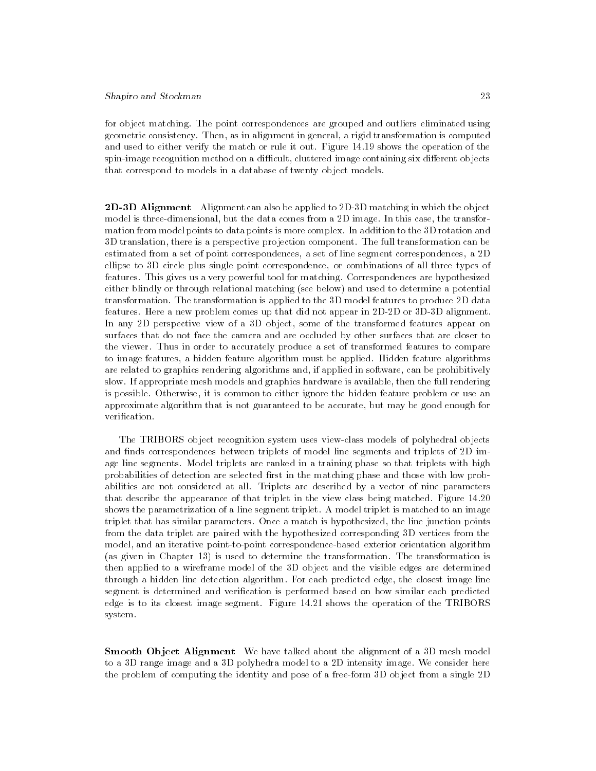for object matching. The point correspondences are grouped and outliers eliminated using geometric consistency. Then, as in alignment in general, a rigid transformation is computed and used to either verify the match or rule it out. Figure 14.19 shows the operation of the spin-image recognition method on a difficult, cluttered image containing six different objects that correspond to models in a database of twenty object models.

2D-3D Alignment Alignment can also be applied to 2D-3D matching in which the object model is three-dimensional, but the data comes from a 2D image. In this case, the transformation from model points to data points is more complex. In addition to the 3D rotation and 3D translation, there is a perspective projection component. The full transformation can be estimated from a set of point correspondences, a set of line segment correspondences, a 2D ellipse to 3D circle plus single point correspondence, or combinations of all three types of features. This gives us a very powerful tool for matching. Correspondences are hypothesized either blindly or through relational matching (see below) and used to determine a potential transformation. The transformation is applied to the 3D model features to produce 2D data features. Here a new problem comes up that did not appear in 2D-2D or 3D-3D alignment. In any 2D perspective view of a 3D object, some of the transformed features appear on surfaces that do not face the camera and are occluded by other surfaces that are closer to the viewer. Thus in order to accurately produce a set of transformed features to compare to image features, a hidden feature algorithm must be applied. Hidden feature algorithms are related to graphics rendering algorithms and, if applied in software, can be prohibitively slow. If appropriate mesh models and graphics hardware is available, then the full rendering is possible. Otherwise, it is common to either ignore the hidden feature problem or use an approximate algorithm that is not guaranteed to be accurate, but may be good enough for verification.

The TRIBORS object recognition system uses view-class models of polyhedral objects and finds correspondences between triplets of model line segments and triplets of 2D image line segments. Model triplets are ranked in a training phase so that triplets with high probabilities of detection are selected first in the matching phase and those with low probabilities are not considered at all. Triplets are described by a vector of nine parameters that describe the appearance of that triplet in the view class being matched. Figure 14.20 shows the parametrization of a line segment triplet. A model triplet is matched to an image triplet that has similar parameters. Once a match is hypothesized, the line junction points from the data triplet are paired with the hypothesized corresponding 3D vertices from the model, and an iterative point-to-point correspondence-based exterior orientation algorithm (as given in Chapter 13) is used to determine the transformation. The transformation is then applied to a wireframe model of the 3D object and the visible edges are determined through a hidden line detection algorithm. For each predicted edge, the closest image line segment is determined and verification is performed based on how similar each predicted edge is to its closest image segment. Figure 14.21 shows the operation of the TRIBORS system.

Smooth Object Alignment We have talked about the alignment of a 3D mesh model to a 3D range image and a 3D polyhedra model to a 2D intensity image. We consider here the problem of computing the identity and pose of a free-form 3D object from a single 2D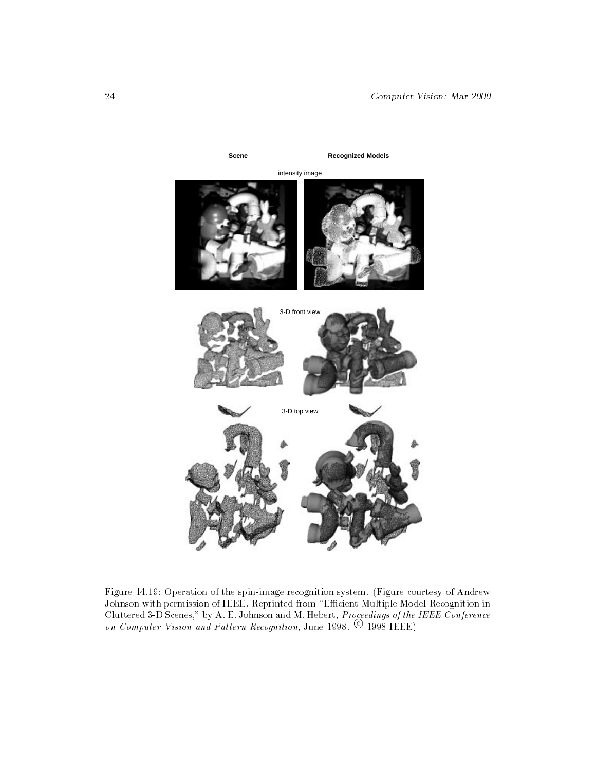

Figure 14.19: Operation of the spin-image recognition system. (Figure courtesy of Andrew Johnson with permission of IEEE. Reprinted from \Ecient Multiple Model Recognition in on Computer Vision and Pattern Recognition, June 1998.  $\copyright$  1998 IEEE)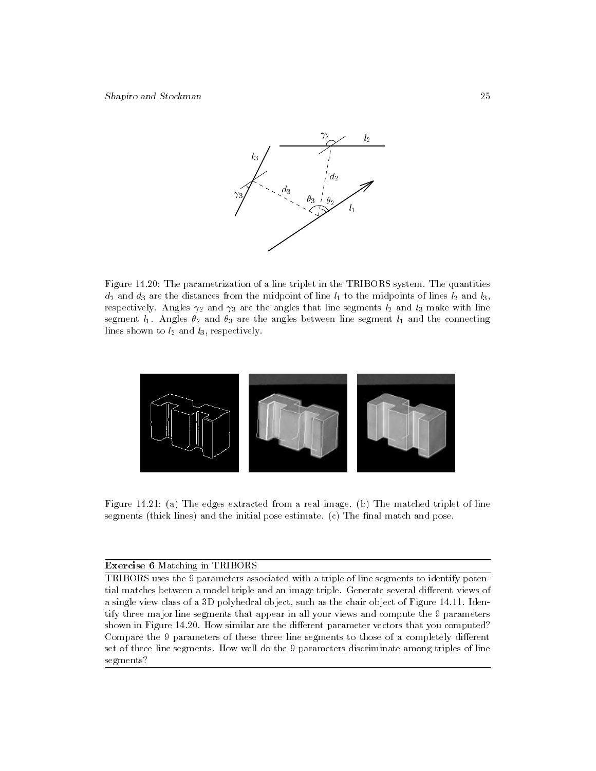

Figure 14.20: The parametrization of a line triplet in the TRIBORS system. The quantities  $d_2$  and  $d_3$  are the distances from the midpoint of line  $l_1$  to the midpoints of lines  $l_2$  and  $l_3$ , respectively. Angles  $\gamma_2$  and  $\gamma_3$  are the angles that line segments  $l_2$  and  $l_3$  make with line segment  $l_1$ . Angles  $\theta_2$  and  $\theta_3$  are the angles between line segment  $l_1$  and the connecting lines shown to  $l_2$  and  $l_3$ , respectively.



Figure 14.21: (a) The edges extracted from a real image. (b) The matched triplet of line segments (thick lines) and the initial pose estimate.  $(c)$  The final match and pose.

### Exercise 6 Matching in TRIBORS

TRIBORS uses the 9 parameters associated with a triple of line segments to identify potential matches between a model triple and an image triple. Generate several different views of a single view class of a 3D polyhedral object, such as the chair object of Figure 14.11. Identify three major line segments that appear in all your views and compute the 9 parameters shown in Figure 14.20. How similar are the different parameter vectors that you computed? Compare the 9 parameters of these three line segments to those of a completely different set of three line segments. How well do the 9 parameters discriminate among triples of line segments?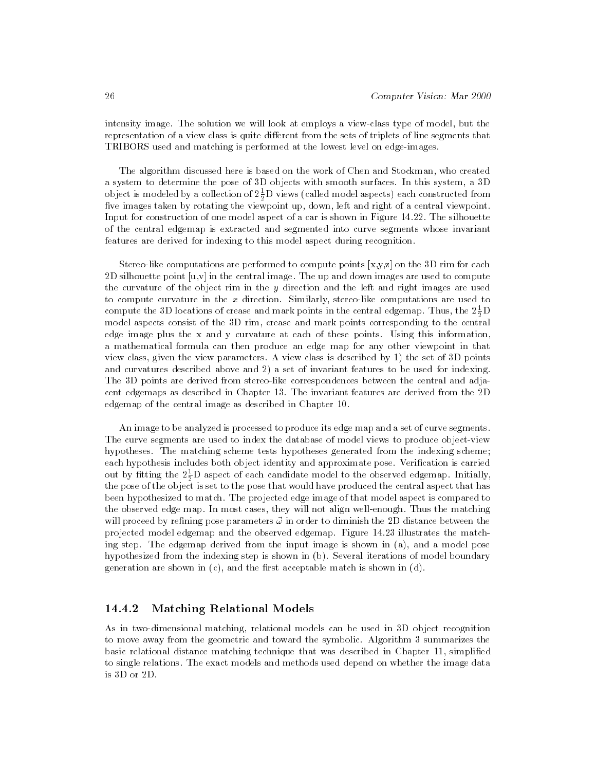intensity image. The solution we will look at employs a view-class type of model, but the representation of a view class is quite different from the sets of triplets of line segments that TRIBORS used and matching is performed at the lowest level on edge-images.

The algorithm discussed here is based on the work of Chen and Stockman, who created a system to determine the pose of 3D objects with smooth surfaces. In this system, a 3D object is modeled by a collection of 2 $\frac{1}{2}$ D views (called model aspects) each constructed from five images taken by rotating the viewpoint up, down, left and right of a central viewpoint. Input for construction of one model aspect of a car is shown in Figure 14.22. The silhouette of the central edgemap is extracted and segmented into curve segments whose invariant features are derived for indexing to this model aspect during recognition.

Stereo-like computations are performed to compute points  $[x,y,z]$  on the 3D rim for each 2D silhouette point  $[u, v]$  in the central image. The up and down images are used to compute the curvature of the object rim in the  $y$  direction and the left and right images are used to compute curvature in the  $x$  direction. Similarly, stereo-like computations are used to compute the 3D locations of crease and mark points in the central edgemap. Thus, the  $2\frac{1}{2} \mathbf{D}$ model aspects consist of the 3D rim, crease and mark points corresponding to the central edge image plus the x and y curvature at each of these points. Using this information, a mathematical formula can then produce an edge map for any other viewpoint in that view class, given the view parameters. A view class is described by 1) the set of 3D points and curvatures described above and 2) a set of invariant features to be used for indexing. The 3D points are derived from stereo-like correspondences between the central and adjacent edgemaps as described in Chapter 13. The invariant features are derived from the 2D edgemap of the central image as described in Chapter 10.

An image to be analyzed is processed to produce its edge map and a set of curve segments. The curve segments are used to index the database of model views to produce object-view hypotheses. The matching scheme tests hypotheses generated from the indexing scheme; each hypothesis includes both object identity and approximate pose. Verification is carried out by ntting the  $2\frac{1}{2}\mathbf{D}$  aspect of each candidate model to the observed edgemap. Initially, the pose of the object is set to the pose that would have produced the central aspect that has been hypothesized to match. The projected edge image of that model aspect is compared to the observed edge map. In most cases, they will not align well-enough. Thus the matching will proceed by refining pose parameters  $\vec{\omega}$  in order to diminish the 2D distance between the projected model edgemap and the observed edgemap. Figure 14.23 illustrates the matching step. The edgemap derived from the input image is shown in (a), and a model pose hypothesized from the indexing step is shown in (b). Several iterations of model boundary generation are shown in  $(c)$ , and the first acceptable match is shown in  $(d)$ .

# 14.4.2 Matching Relational Models

As in two-dimensional matching, relational models can be used in 3D object recognition to move away from the geometric and toward the symbolic. Algorithm 3 summarizes the basic relational distance matching technique that was described in Chapter 11, simplied to single relations. The exact models and methods used depend on whether the image data is 3D or 2D.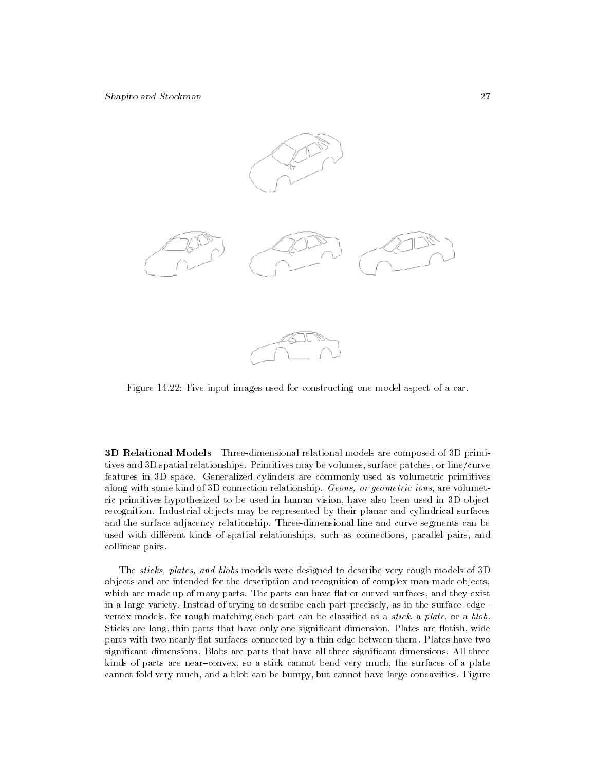

Figure 14.22: Five input images used for constructing one model aspect of a car.

3D Relational Models Three-dimensional relational models are composed of 3D primitives and 3D spatial relationships. Primitives may be volumes, surface patches, or line/curve features in 3D space. Generalized cylinders are commonly used as volumetric primitives along with some kind of 3D connection relationship. Geons, or geometric ions, are volumetric primitives hypothesized to be used in human vision, have also been used in 3D object recognition. Industrial objects may be represented by their planar and cylindrical surfaces and the surface adjacency relationship. Three-dimensional line and curve segments can be used with different kinds of spatial relationships, such as connections, parallel pairs, and collinear pairs.

The sticks, plates, and blobs models were designed to describe very rough models of 3D objects and are intended for the description and recognition of complex man-made objects, which are made up of many parts. The parts can have flat or curved surfaces, and they exist in a large variety. Instead of trying to describe each part precisely, as in the surface-edgevertex models, for rough matching each part can be classified as a *stick*, a *plate*, or a *blob*. Sticks are long, thin parts that have only one significant dimension. Plates are flatish, wide parts with two nearly flat surfaces connected by a thin edge between them. Plates have two signicant dimensions. Blobs are parts that have all three signicant dimensions. All three kinds of parts are near-convex, so a stick cannot bend very much, the surfaces of a plate cannot fold very much, and a blob can be bumpy, but cannot have large concavities. Figure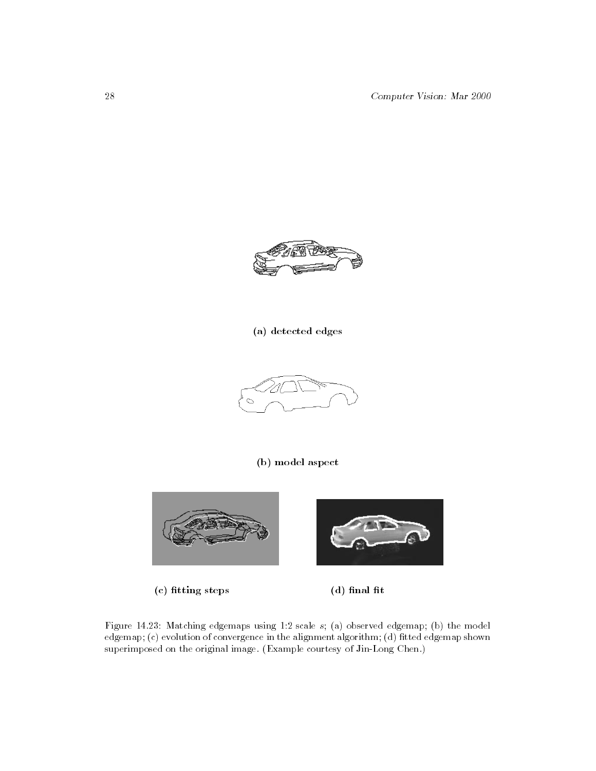28 Computer Vision: Mar 2000



# (a) detected edges



# (b) model aspect



 $(c)$  fitting steps  $(d)$  final fit



Figure 14.23: Matching edgemaps using 1:2 scale s; (a) observed edgemap; (b) the model edgemap;  $(c)$  evolution of convergence in the alignment algorithm; (d) fitted edgemap shown superimposed on the original image. (Example courtesy of Jin-Long Chen.)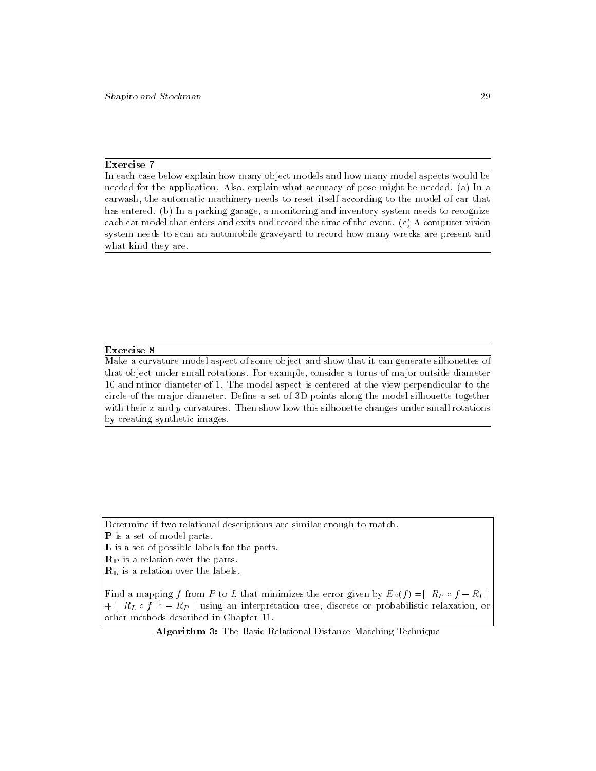### Exercise 7

In each case below explain how many object models and how many model aspects would be needed for the application. Also, explain what accuracy of pose might be needed. (a) In a carwash, the automatic machinery needs to reset itself according to the model of car that has entered. (b) In a parking garage, a monitoring and inventory system needs to recognize each car model that enters and exits and record the time of the event. (c) A computer vision system needs to scan an automobile graveyard to record how many wrecks are present and what kind they are.

### Exercise 8

Make a curvature model aspect of some object and show that it can generate silhouettes of that object under small rotations. For example, consider a torus of major outside diameter 10 and minor diameter of 1. The model aspect is centered at the view perpendicular to the circle of the major diameter. Define a set of 3D points along the model silhouette together with their  $x$  and  $y$  curvatures. Then show how this silhouette changes under small rotations by creating synthetic images.

Determine if two relational descriptions are similar enough to match.

P is a set of model parts.

L is a set of possible labels for the parts.

 $\mathbf{R}_{\mathbf{P}}$  is a relation over the parts.

RL is a relation over the labels.

Find a mapping <sup>f</sup> from <sup>P</sup> to <sup>L</sup> that minimizes the error given by ES(f ) =j RP <sup>f</sup> RL j + j RL <sup>f</sup>1 RP j using an interpretation tree, discrete or probabilistic relaxation, or other methods described in Chapter 11.

Algorithm 3: The Basic Relational Distance Matching Technique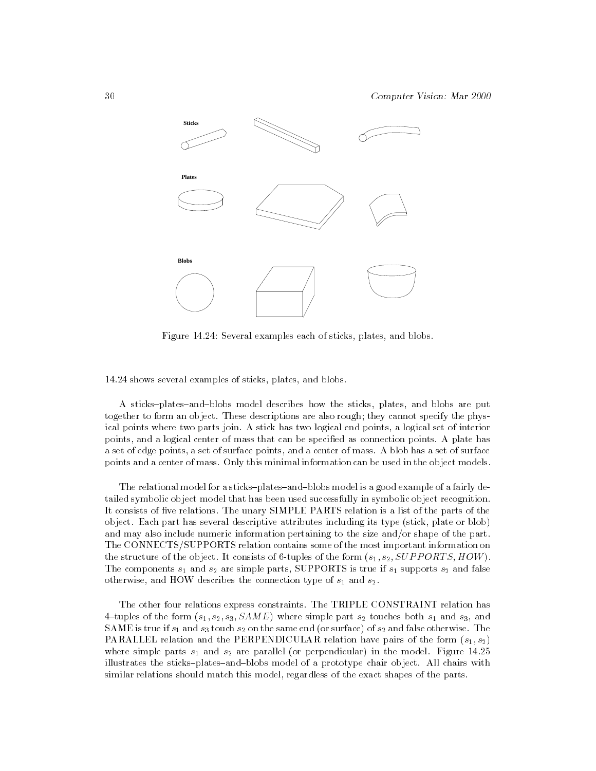

Figure 14.24: Several examples each of sticks, plates, and blobs.

14.24 shows several examples of sticks, plates, and blobs.

A sticks-plates-and-blobs model describes how the sticks, plates, and blobs are put together to form an object. These descriptions are also rough; they cannot specify the physical points where two parts join. A stick has two logical end points, a logical set of interior points, and a logical center of mass that can be specied as connection points. A plate has a set of edge points, a set of surface points, and a center of mass. A blob has a set of surface points and a center of mass. Only this minimal information can be used in the object models.

The relational model for a sticks-plates-and-blobs model is a good example of a fairly detailed symbolic object model that has been used successfully in symbolic object recognition. It consists of five relations. The unary SIMPLE PARTS relation is a list of the parts of the object. Each part has several descriptive attributes including its type (stick, plate or blob) and may also include numeric information pertaining to the size and/or shape of the part. The CONNECTS/SUPPORTS relation contains some of the most important information on the structure of the object. It consists of 6-tuples of the form  $(s_1, s_2, \text{SUPPORTS}, \text{HOW})$ . The components  $s_1$  and  $s_2$  are simple parts, SUPPORTS is true if  $s_1$  supports  $s_2$  and false otherwise, and HOW describes the connection type of  $s_1$  and  $s_2$ .

The other four relations express constraints. The TRIPLE CONSTRAINT relation has 4-tuples of the form  $(s_1, s_2, s_3, SAME)$  where simple part  $s_2$  touches both  $s_1$  and  $s_3$ , and SAME is true if  $s_1$  and  $s_3$  touch  $s_2$  on the same end (or surface) of  $s_2$  and false otherwise. The PARALLEL relation and the PERPENDICULAR relation have pairs of the form  $(s_1, s_2)$ where simple parts  $s_1$  and  $s_2$  are parallel (or perpendicular) in the model. Figure 14.25 illustrates the sticks-plates-and-blobs model of a prototype chair object. All chairs with similar relations should match this model, regardless of the exact shapes of the parts.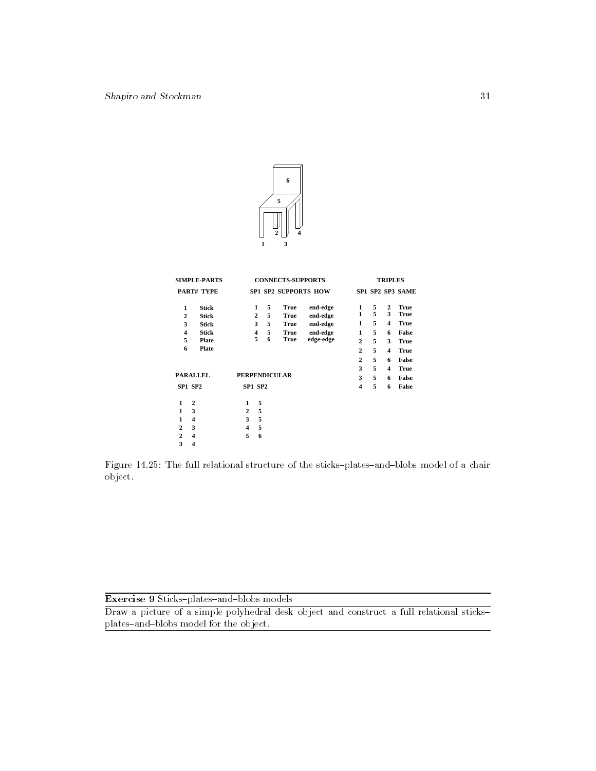

| <b>SIMPLE-PARTS</b>     |                 | <b>CONNECTS-SUPPORTS</b> |                |   |             |                             |                         | <b>TRIPLES</b> |                         |                  |  |
|-------------------------|-----------------|--------------------------|----------------|---|-------------|-----------------------------|-------------------------|----------------|-------------------------|------------------|--|
|                         | PART# TYPE      |                          |                |   |             | <b>SP1 SP2 SUPPORTS HOW</b> |                         |                |                         | SP1 SP2 SP3 SAME |  |
| 1                       | <b>Stick</b>    |                          | 1              | 5 | <b>True</b> | end-edge                    | 1                       | 5              | $\overline{2}$          | <b>True</b>      |  |
| $\mathbf{2}$            | <b>Stick</b>    |                          | $\overline{2}$ | 5 | <b>True</b> | end-edge                    | 1                       | 5              | 3                       | <b>True</b>      |  |
| 3                       | <b>Stick</b>    |                          | 3              | 5 | <b>True</b> | end-edge                    | 1                       | 5              | $\overline{\mathbf{4}}$ | <b>True</b>      |  |
| $\overline{\mathbf{4}}$ | <b>Stick</b>    |                          | 4              | 5 | <b>True</b> | end-edge                    | 1                       | 5              | 6                       | False            |  |
| 5                       | Plate           |                          | 5              | 6 | True        | edge-edge                   | $\overline{c}$          | 5              | 3                       | <b>True</b>      |  |
| 6                       | Plate           |                          |                |   |             |                             | $\mathbf{2}$            | 5              | $\overline{\mathbf{4}}$ | <b>True</b>      |  |
|                         |                 |                          |                |   |             |                             | $\overline{2}$          | 5              | 6                       | False            |  |
|                         |                 |                          |                |   |             |                             | 3                       | 5              | $\overline{\mathbf{4}}$ | <b>True</b>      |  |
|                         | <b>PARALLEL</b> | <b>PERPENDICULAR</b>     |                |   |             |                             | 3                       | 5              | 6                       | False            |  |
|                         |                 |                          |                |   |             |                             |                         |                |                         |                  |  |
| SP1 SP2                 |                 | <b>SP1 SP2</b>           |                |   |             |                             | $\overline{\mathbf{4}}$ | 5              | 6                       | False            |  |
| 1                       | $\overline{2}$  | 1                        | 5              |   |             |                             |                         |                |                         |                  |  |
| 1                       | 3               | $\mathbf{2}$             | 5              |   |             |                             |                         |                |                         |                  |  |
| 1                       | 4               | 3                        | 5              |   |             |                             |                         |                |                         |                  |  |
|                         |                 |                          |                |   |             |                             |                         |                |                         |                  |  |
| $\mathbf{2}$            | 3               | $\overline{\mathbf{4}}$  | 5              |   |             |                             |                         |                |                         |                  |  |
| $\overline{2}$          | 4               | 5                        | 6              |   |             |                             |                         |                |                         |                  |  |
| 3                       | 4               |                          |                |   |             |                             |                         |                |                         |                  |  |

Figure 14.25: The full relational structure of the sticks-plates-and-blobs model of a chair object.

| <b>Exercise 9 Sticks-plates-and-blobs models</b> |  |
|--------------------------------------------------|--|
|--------------------------------------------------|--|

Draw a picture of a simple polyhedral desk object and construct a full relational sticksplates-and-blobs model for the object.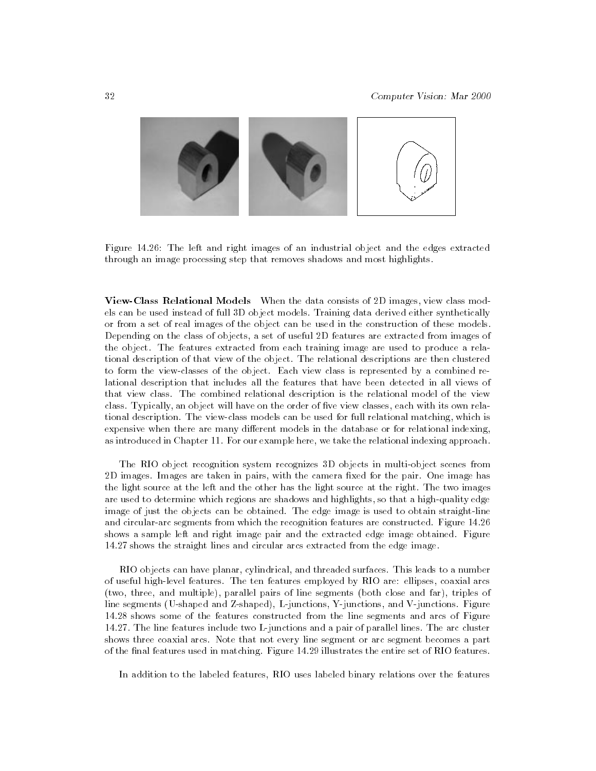

Figure 14.26: The left and right images of an industrial object and the edges extracted through an image processing step that removes shadows and most highlights.

View-Class Relational Models When the data consists of 2D images, view class models can be used instead of full 3D object models. Training data derived either synthetically or from a set of real images of the object can be used in the construction of these models. Depending on the class of objects, a set of useful 2D features are extracted from images of the object. The features extracted from each training image are used to produce a relational description of that view of the object. The relational descriptions are then clustered to form the view-classes of the object. Each view class is represented by a combined relational description that includes all the features that have been detected in all views of that view class. The combined relational description is the relational model of the view class. Typically, an object will have on the order of five view classes, each with its own relational description. The view-class models can be used for full relational matching, which is expensive when there are many different models in the database or for relational indexing, as introduced in Chapter 11. For our example here, we take the relational indexing approach.

The RIO object recognition system recognizes 3D objects in multi-object scenes from 2D images. Images are taken in pairs, with the camera fixed for the pair. One image has the light source at the left and the other has the light source at the right. The two images are used to determine which regions are shadows and highlights, so that a high-quality edge image of just the objects can be obtained. The edge image is used to obtain straight-line and circular-arc segments from which the recognition features are constructed. Figure 14.26 shows a sample left and right image pair and the extracted edge image obtained. Figure 14.27 shows the straight lines and circular arcs extracted from the edge image.

RIO objects can have planar, cylindrical, and threaded surfaces. This leads to a number of useful high-level features. The ten features employed by RIO are: ellipses, coaxial arcs (two, three, and multiple), parallel pairs of line segments (both close and far), triples of line segments (U-shaped and Z-shaped), L-junctions, Y-junctions, and V-junctions. Figure 14.28 shows some of the features constructed from the line segments and arcs of Figure 14.27. The line features include two L-junctions and a pair of parallel lines. The arc cluster shows three coaxial arcs. Note that not every line segment or arc segment becomes a part of the final features used in matching. Figure 14.29 illustrates the entire set of RIO features.

In addition to the labeled features, RIO uses labeled binary relations over the features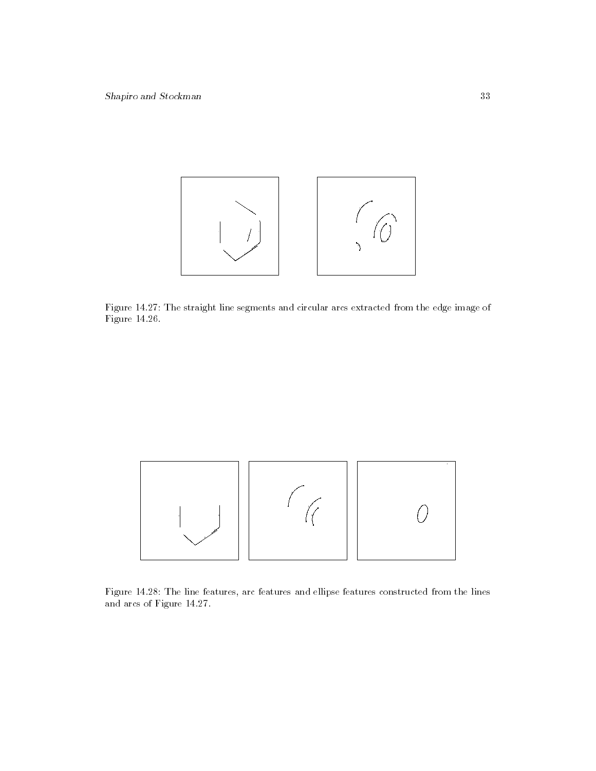

Figure 14.27: The straight line segments and circular arcs extracted from the edge image of Figure 14.26.



Figure 14.28: The line features, arc features and ellipse features constructed from the lines and arcs of Figure 14.27.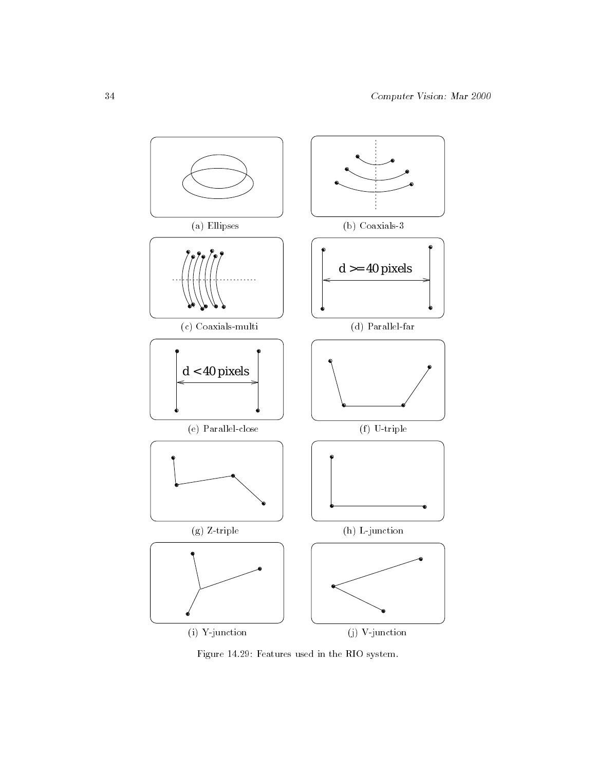

Figure 14.29: Features used in the RIO system.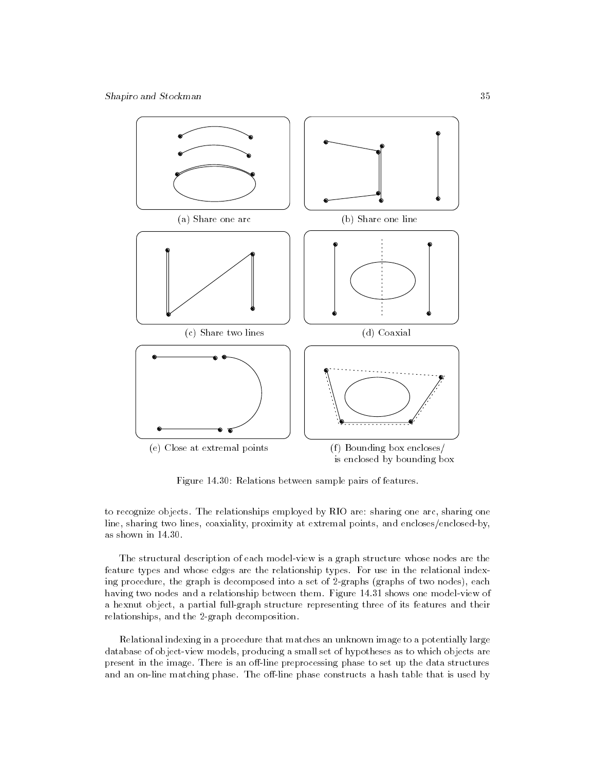

Figure 14.30: Relations between sample pairs of features.

to recognize objects. The relationships employed by RIO are: sharing one arc, sharing one line, sharing two lines, coaxiality, proximity at extremal points, and encloses/enclosed-by, as shown in 14.30.

The structural description of each model-view is a graph structure whose nodes are the feature types and whose edges are the relationship types. For use in the relational indexing procedure, the graph is decomposed into a set of 2-graphs (graphs of two nodes), each having two nodes and a relationship between them. Figure 14.31 shows one model-view of a hexnut object, a partial full-graph structure representing three of its features and their relationships, and the 2-graph decomposition.

Relational indexing in a procedure that matches an unknown image to a potentially large database of object-view models, producing a small set of hypotheses as to which objects are present in the image. There is an off-line preprocessing phase to set up the data structures and an on-line matching phase. The off-line phase constructs a hash table that is used by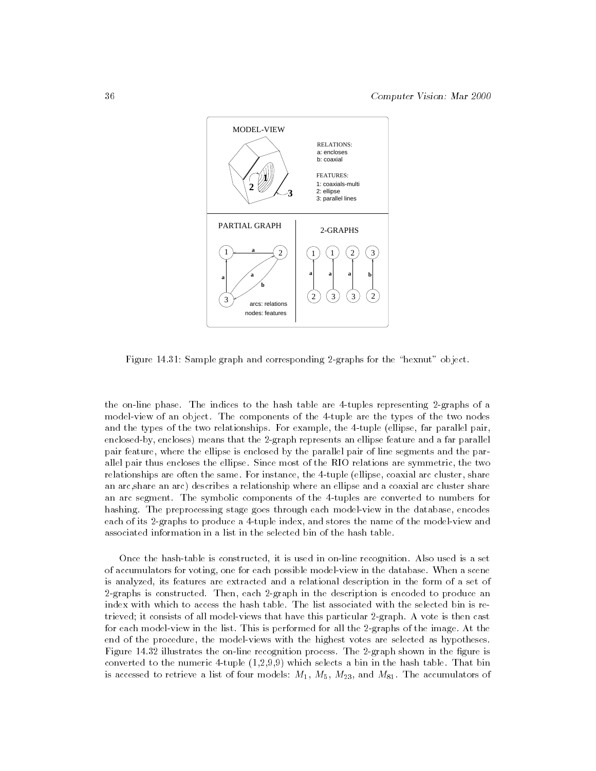

Figure 14.31: Sample graph and corresponding 2-graphs for the "hexnut" object.

the on-line phase. The indices to the hash table are 4-tuples representing 2-graphs of a model-view of an object. The components of the 4-tuple are the types of the two nodes and the types of the two relationships. For example, the 4-tuple (ellipse, far parallel pair, enclosed-by, encloses) means that the 2-graph represents an ellipse feature and a far parallel pair feature, where the ellipse is enclosed by the parallel pair of line segments and the parallel pair thus encloses the ellipse. Since most of the RIO relations are symmetric, the two relationships are often the same. For instance, the 4-tuple (ellipse, coaxial arc cluster, share an arc,share an arc) describes a relationship where an ellipse and a coaxial arc cluster share an arc segment. The symbolic components of the 4-tuples are converted to numbers for hashing. The preprocessing stage goes through each model-view in the database, encodes each of its 2-graphs to produce a 4-tuple index, and stores the name of the model-view and associated information in a list in the selected bin of the hash table.

Once the hash-table is constructed, it is used in on-line recognition. Also used is a set of accumulators for voting, one for each possible model-view in the database. When a scene is analyzed, its features are extracted and a relational description in the form of a set of 2-graphs is constructed. Then, each 2-graph in the description is encoded to produce an index with which to access the hash table. The list associated with the selected bin is retrieved; it consists of all model-views that have this particular 2-graph. A vote is then cast for each model-view in the list. This is performed for all the 2-graphs of the image. At the end of the procedure, the model-views with the highest votes are selected as hypotheses. Figure 14.32 illustrates the on-line recognition process. The 2-graph shown in the figure is converted to the numeric 4-tuple  $(1,2,9,9)$  which selects a bin in the hash table. That bin is accessed to retrieve a list of four models:  $M_1$ ,  $M_5$ ,  $M_{23}$ , and  $M_{81}$ . The accumulators of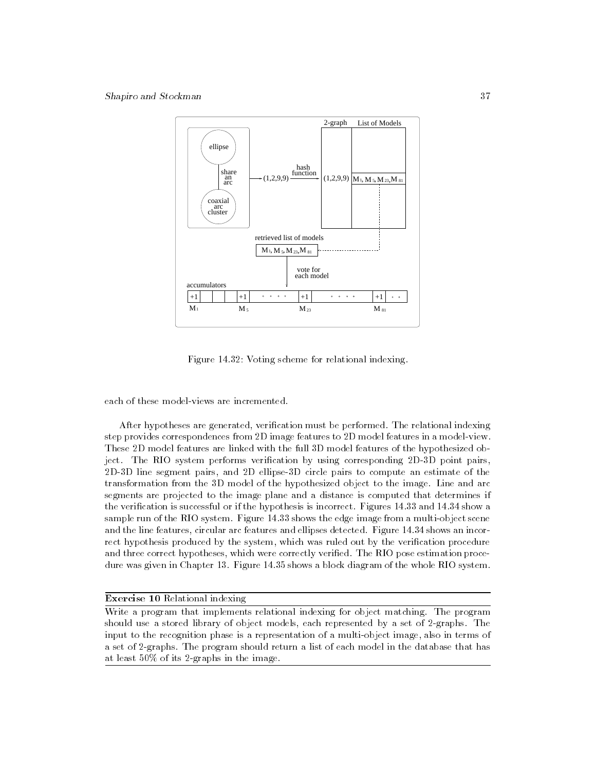

Figure 14.32: Voting scheme for relational indexing.

each of these model-views are incremented.

After hypotheses are generated, verification must be performed. The relational indexing step provides correspondences from 2D image features to 2D model features in a model-view. These 2D model features are linked with the full 3D model features of the hypothesized object. The RIO system performs verification by using corresponding 2D-3D point pairs, 2D-3D line segment pairs, and 2D ellipse-3D circle pairs to compute an estimate of the transformation from the 3D model of the hypothesized object to the image. Line and arc segments are projected to the image plane and a distance is computed that determines if the verication is successful or if the hypothesis is incorrect. Figures 14.33 and 14.34 show a sample run of the RIO system. Figure 14.33 shows the edge image from a multi-object scene and the line features, circular arc features and ellipses detected. Figure 14.34 shows an incorrect hypothesis produced by the system, which was ruled out by the verification procedure and three correct hypotheses, which were correctly verified. The RIO pose estimation procedure was given in Chapter 13. Figure 14.35 shows a block diagram of the whole RIO system.

# Exercise 10 Relational indexing

Write a program that implements relational indexing for object matching. The program should use a stored library of object models, each represented by a set of 2-graphs. The input to the recognition phase is a representation of a multi-object image, also in terms of a set of 2-graphs. The program should return a list of each model in the database that has at least 50% of its 2-graphs in the image.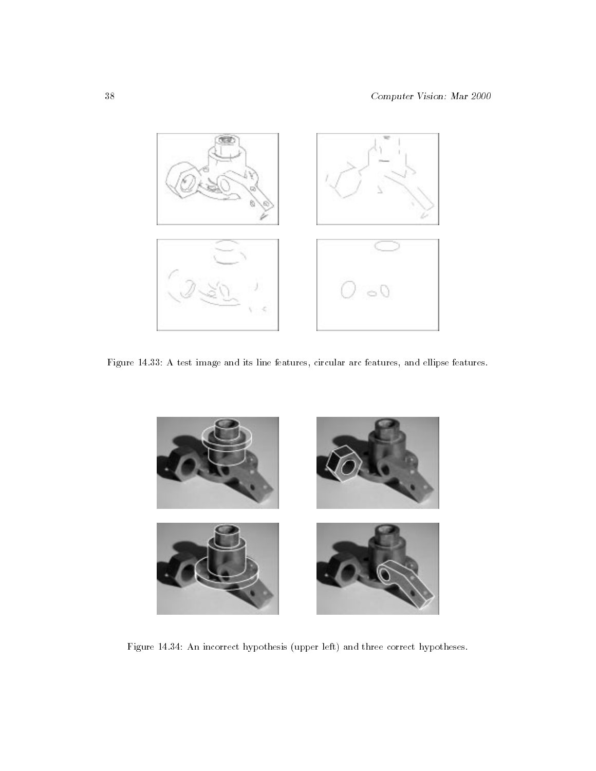

Figure 14.33: A test image and its line features, circular arc features, and ellipse features.



Figure 14.34: An incorrect hypothesis (upper left) and three correct hypotheses.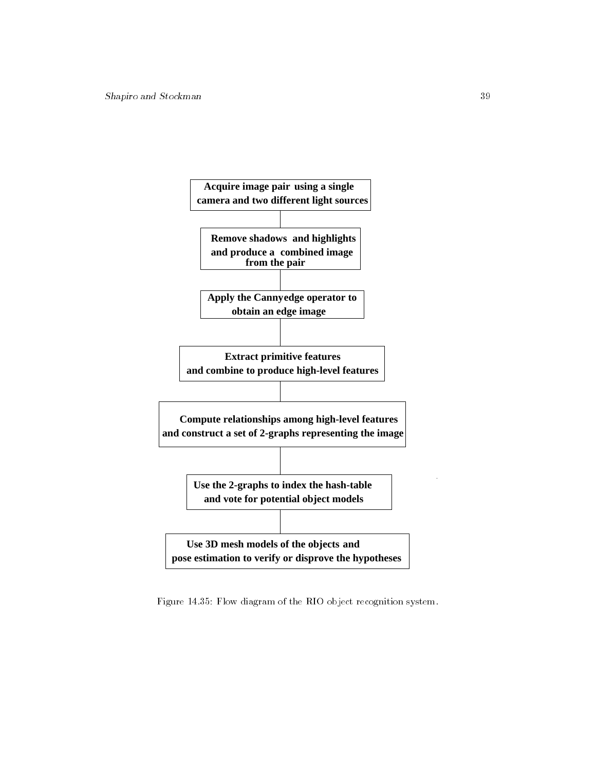

Figure 14.35: Flow diagram of the RIO object recognition system.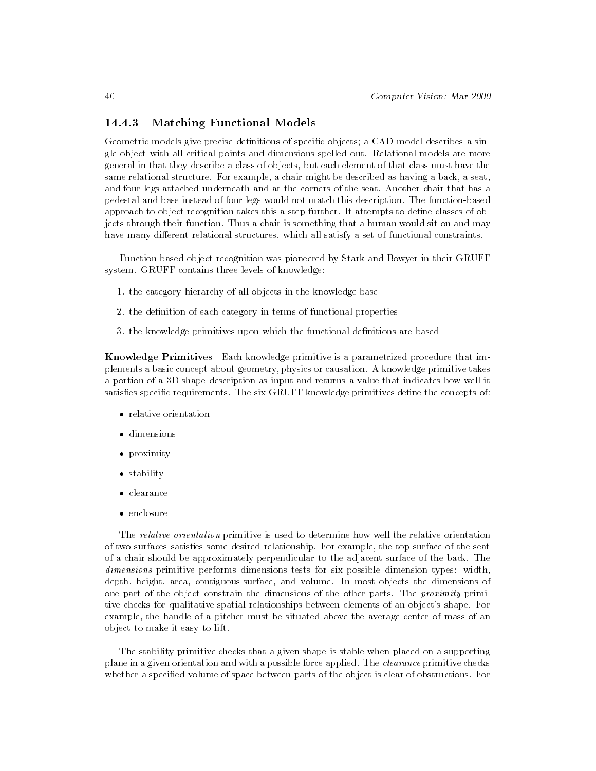# 14.4.3 Matching Functional Models

Geometric models give precise definitions of specific objects; a CAD model describes a single object with all critical points and dimensions spelled out. Relational models are more general in that they describe a class of objects, but each element of that class must have the same relational structure. For example, a chair might be described as having a back, a seat, and four legs attached underneath and at the corners of the seat. Another chair that has a pedestal and base instead of four legs would not match this description. The function-based approach to object recognition takes this a step further. It attempts to dene classes of objects through their function. Thus a chair is something that a human would sit on and may have many different relational structures, which all satisfy a set of functional constraints.

Function-based object recognition was pioneered by Stark and Bowyer in their GRUFF system. GRUFF contains three levels of knowledge:

- 1. the category hierarchy of all objects in the knowledge base
- 2. the definition of each category in terms of functional properties
- 3. the knowledge primitives upon which the functional definitions are based

Knowledge Primitives Each knowledge primitive is a parametrized procedure that implements a basic concept about geometry, physics or causation. A knowledge primitive takes a portion of a 3D shape description as input and returns a value that indicates how well it satisfies specific requirements. The six GRUFF knowledge primitives define the concepts of:

- relative orientation
- 
- proximity
- stability of the stability of the stability of the stability of the stability of the stability of the stability of the stability of the stability of the stability of the stability of the stability of the stability of the s
- 
- 

The relative orientation primitive is used to determine how well the relative orientation of two surfaces satises some desired relationship. For example, the top surface of the seat of a chair should be approximately perpendicular to the adjacent surface of the back. The dimensions primitive performs dimensions tests for six possible dimension types: width, depth, height, area, contiguous surface, and volume. In most objects the dimensions of one part of the object constrain the dimensions of the other parts. The proximity primitive checks for qualitative spatial relationships between elements of an object's shape. For example, the handle of a pitcher must be situated above the average center of mass of an object to make it easy to lift.

The stability primitive checks that a given shape is stable when placed on a supporting plane in a given orientation and with a possible force applied. The *clearance* primitive checks whether a specied volume of space between parts of the object is clear of obstructions. For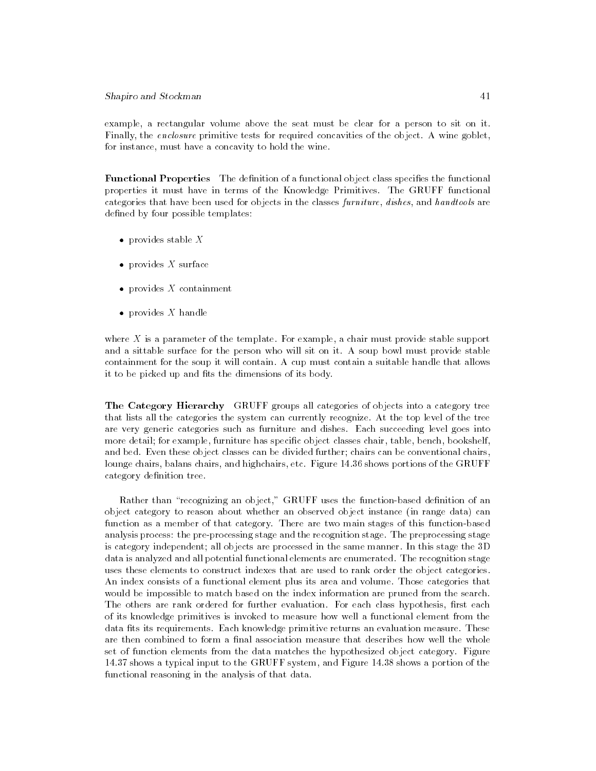example, a rectangular volume above the seat must be clear for a person to sit on it. Finally, the enclosure primitive tests for required concavities of the object. A wine goblet, for instance, must have a concavity to hold the wine.

**Functional Properties** The definition of a functional object class specifies the functional properties it must have in terms of the Knowledge Primitives. The GRUFF functional categories that have been used for objects in the classes furniture, dishes, and handtools are defined by four possible templates:

- $\bullet$  provides stable X
- $\mathbf{r}$
- provides <sup>X</sup> containment
- provides  $X$  handle

where  $X$  is a parameter of the template. For example, a chair must provide stable support and a sittable surface for the person who will sit on it. A soup bowl must provide stable containment for the soup it will contain. A cup must contain a suitable handle that allows it to be picked up and fits the dimensions of its body.

The Category Hierarchy GRUFF groups all categories of objects into a category tree that lists all the categories the system can currently recognize. At the top level of the tree are very generic categories such as furniture and dishes. Each succeeding level goes into more detail; for example, furniture has specific object classes chair, table, bench, bookshelf, and bed. Even these object classes can be divided further; chairs can be conventional chairs, lounge chairs, balans chairs, and highchairs, etc. Figure 14.36 shows portions of the GRUFF category definition tree.

Rather than "recognizing an object," GRUFF uses the function-based definition of an object category to reason about whether an observed object instance (in range data) can function as a member of that category. There are two main stages of this function-based analysis process: the pre-processing stage and the recognition stage. The preprocessing stage is category independent; all objects are processed in the same manner. In this stage the 3D data is analyzed and all potential functional elements are enumerated. The recognition stage uses these elements to construct indexes that are used to rank order the object categories. An index consists of a functional element plus its area and volume. Those categories that would be impossible to match based on the index information are pruned from the search. The others are rank ordered for further evaluation. For each class hypothesis, first each of its knowledge primitives is invoked to measure how well a functional element from the data fits its requirements. Each knowledge primitive returns an evaluation measure. These are then combined to form a final association measure that describes how well the whole set of function elements from the data matches the hypothesized object category. Figure 14.37 shows a typical input to the GRUFF system, and Figure 14.38 shows a portion of the functional reasoning in the analysis of that data.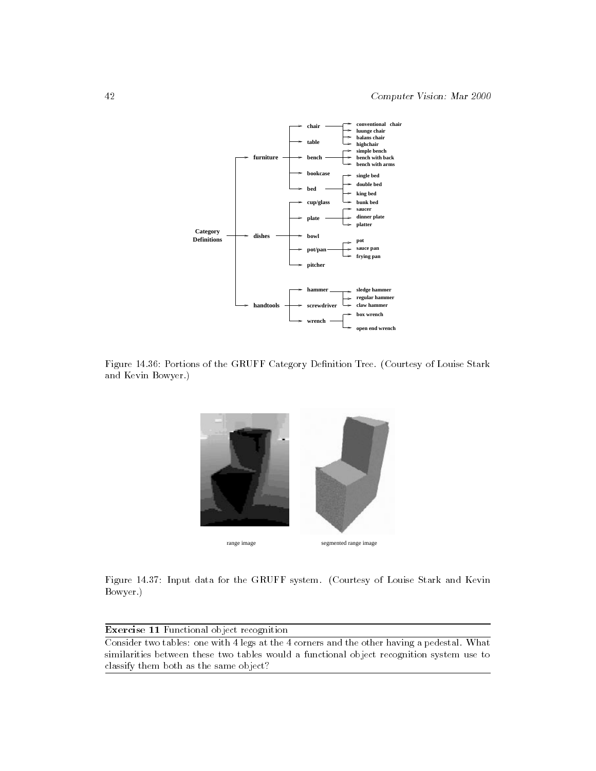

Figure 14.36: Portions of the GRUFF Category Denition Tree. (Courtesy of Louise Stark and Kevin Bowyer.)



Figure 14.37: Input data for the GRUFF system. (Courtesy of Louise Stark and Kevin Bowyer.)

Exercise 11 Functional object recognition Consider two tables: one with 4 legs at the 4 corners and the other having a pedestal. What similarities between these two tables would a functional object recognition system use to classify them both as the same object?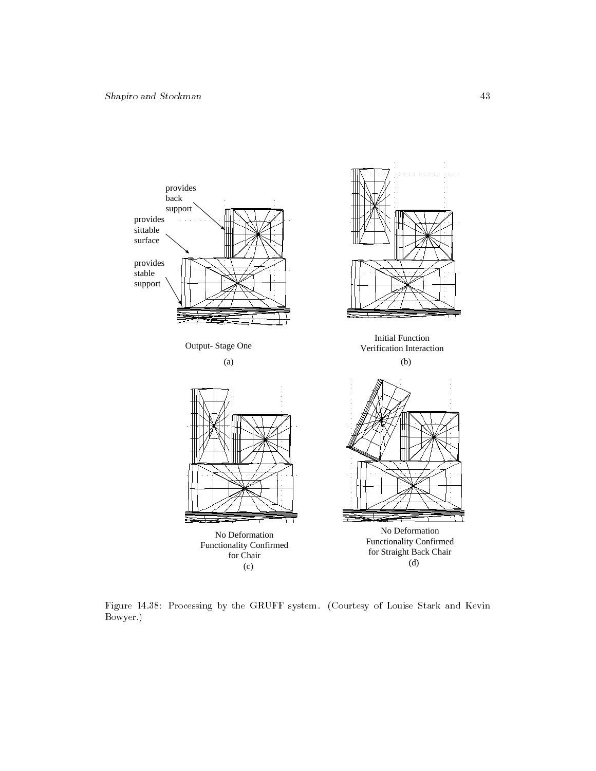

Figure 14.38: Processing by the GRUFF system. (Courtesy of Louise Stark and Kevin Bowyer.)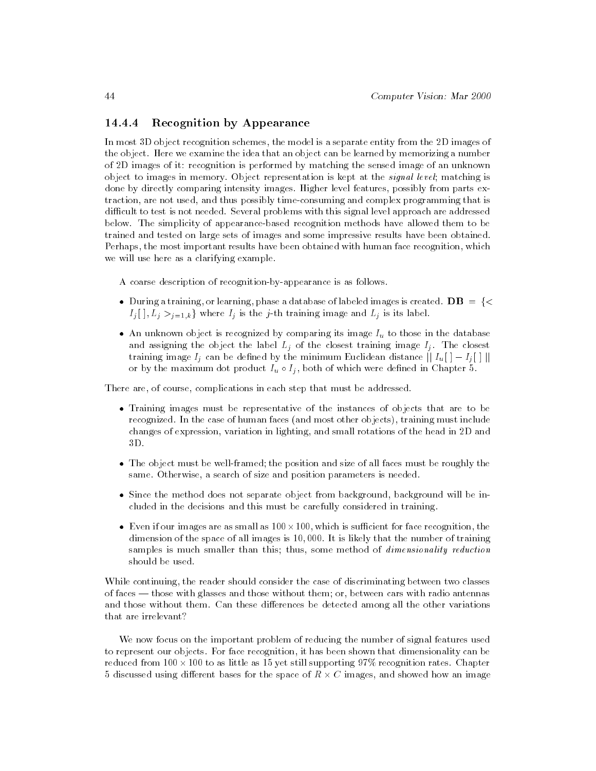# 14.4.4 Recognition by Appearance

In most 3D object recognition schemes, the model is a separate entity from the 2D images of the object. Here we examine the idea that an object can be learned by memorizing a number of 2D images of it: recognition is performed by matching the sensed image of an unknown object to images in memory. Object representation is kept at the signal level; matching is done by directly comparing intensity images. Higher level features, possibly from parts extraction, are not used, and thus possibly time-consuming and complex programming that is difficult to test is not needed. Several problems with this signal level approach are addressed below. The simplicity of appearance-based recognition methods have allowed them to be trained and tested on large sets of images and some impressive results have been obtained. Perhaps, the most important results have been obtained with human face recognition, which we will use here as a clarifying example.

A coarse description of recognition-by-appearance is as follows.

- $I_j$  [ ],  $L_j >_{j=1,k}$  where  $I_j$  is the j-th training image and  $L_j$  is its label.
- and assigning the object the label  $L_j$  of the closest training image  $I_j$ . The closest training image Ij can be dened by the minimum Euclidean distance or by the maximum dot product  $I_u \circ I_j$ , both of which were defined in Chapter 5.

There are, of course, complications in each step that must be addressed.

- $\frac{6}{\pi}$  recognized. In the case of human faces (and most other objects), training must include changes of expression, variation in lighting, and small rotations of the head in 2D and 3D.
- $\frac{3}{\pi}$  same. Otherwise, a search of size and position parameters is needed.
- Since the method does not separate object from background, background will be in-cluded in the decisions and this must be carefully considered in training.
- dimension of the space of all images is 10,000. It is likely that the number of training • Even if our images are as small as  $100 \times 100$ , which is sufficient for face recognition, the samples is much smaller than this; thus, some method of *dimensionality reduction* should be used.

While continuing, the reader should consider the case of discriminating between two classes of faces — those with glasses and those without them; or, between cars with radio antennas and those without them. Can these differences be detected among all the other variations that are irrelevant?

We now focus on the important problem of reducing the number of signal features used to represent our objects. For face recognition, it has been shown that dimensionality can be reduced from 100 100 to as little as 15 yet still supporting 97% recognition rates. Chapter 5 discussed using different bases for the space of  $R \times C$  images, and showed how an image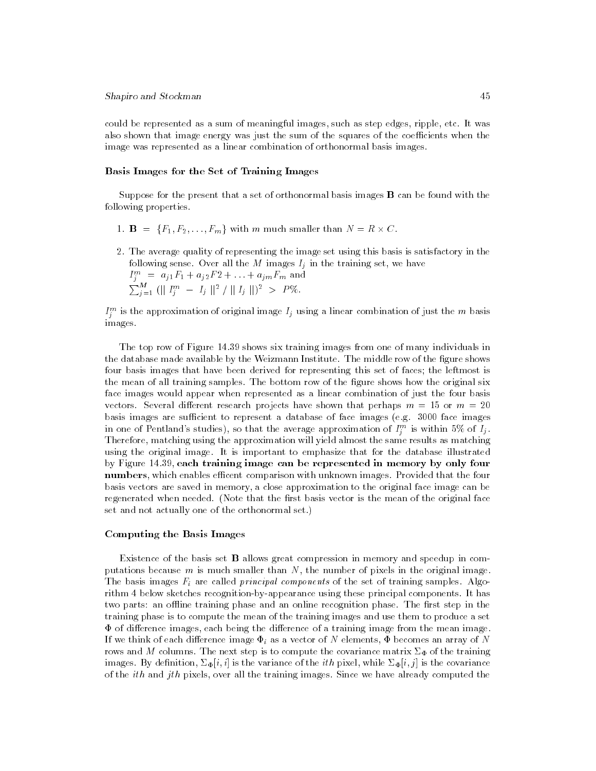could be represented as a sum of meaningful images, such as step edges, ripple, etc. It was also shown that image energy was just the sum of the squares of the coefficients when the image was represented as a linear combination of orthonormal basis images.

### Basis Images for the Set of Training Images

Suppose for the present that a set of orthonormal basis images  $\bf{B}$  can be found with the following properties.

- $1. \quad \text{if} \quad \text{if} \quad \text{if} \quad \text{if} \quad \text{if} \quad \text{if} \quad \text{if} \quad \text{if} \quad \text{if} \quad \text{if} \quad \text{if} \quad \text{if} \quad \text{if} \quad \text{if} \quad \text{if} \quad \text{if} \quad \text{if} \quad \text{if} \quad \text{if} \quad \text{if} \quad \text{if} \quad \text{if} \quad \text{if} \quad \text{if} \quad \text{if} \quad \text{if} \quad \text{if} \quad \text{if} \quad \text{if} \quad \text{if} \quad \text{if} \$
- 2. The average quality of representing the image set using this basis is satisfactory in the following sense. Over all the M images Ij in the training set, we have  $I_j^{in} = a_{j1}I_1 + a_{j2}I_2 + \ldots + a_{j m}I_m$  and<br>  $\sum_{j=1}^M (||I_j^m - I_j||^2 / ||I_j||)^2 > P\%$ .

 $I_j^{\omega}$  is the approximation of original image  $I_j$  using a linear combination of just the  $m$  basis images.

The top row of Figure 14.39 shows six training images from one of many individuals in the database made available by the Weizmann Institute. The middle row of the figure shows four basis images that have been derived for representing this set of faces; the leftmost is the mean of all training samples. The bottom row of the gure shows how the original six face images would appear when represented as a linear combination of just the four basis vectors. Several different research projects have shown that perhaps  $m = 15$  or  $m = 20$ basis images are sufficient to represent a database of face images (e.g.  $3000$  face images in one of Pentland's studies), so that the average approximation of  $I_j^m$  is within 5% of  $I_j$ . Therefore, matching using the approximation will yield almost the same results as matching using the original image. It is important to emphasize that for the database illustrated by Figure 14.39, each training image can be represented in memory by only four numbers, which enables efficent comparison with unknown images. Provided that the four basis vectors are saved in memory, a close approximation to the original face image can be regenerated when needed. (Note that the first basis vector is the mean of the original face set and not actually one of the orthonormal set.)

### Computing the Basis Images

Existence of the basis set B allows great compression in memory and speedup in computations because  $m$  is much smaller than  $N$ , the number of pixels in the original image. The basis images Fi are called principal components of the set of training samples. Algorithm 4 below sketches recognition-by-appearance using these principal components. It has two parts: an offline training phase and an online recognition phase. The first step in the training phase is to compute the mean of the training images and use them to produce a set  $\Phi$  of difference images, each being the difference of a training image from the mean image. If we think of each dierence image in as a vector of  $N$  elements,  $\mathbf{u}$ rows and M columns. The next step is to compute the covariance matrix  $\Sigma_{\Phi}$  of the training images. By definition,  $\Sigma_{\Phi}[i, i]$  is the variance of the *ith* pixel, while  $\Sigma_{\Phi}[i, j]$  is the covariance of the *ith* and *jth* pixels, over all the training images. Since we have already computed the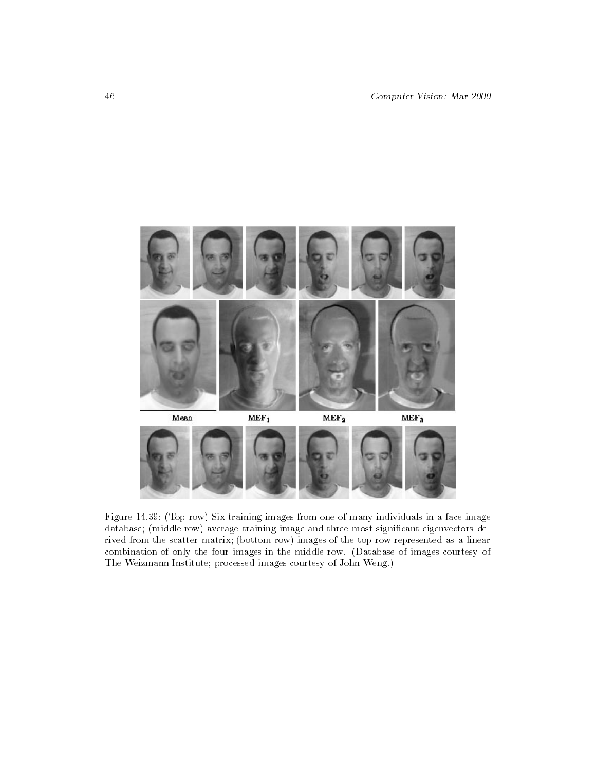

Figure 14.39: (Top row) Six training images from one of many individuals in a face image database; (middle row) average training image and three most signicant eigenvectors derived from the scatter matrix; (bottom row) images of the top row represented as a linear combination of only the four images in the middle row. (Database of images courtesy of The Weizmann Institute; processed images courtesy of John Weng.)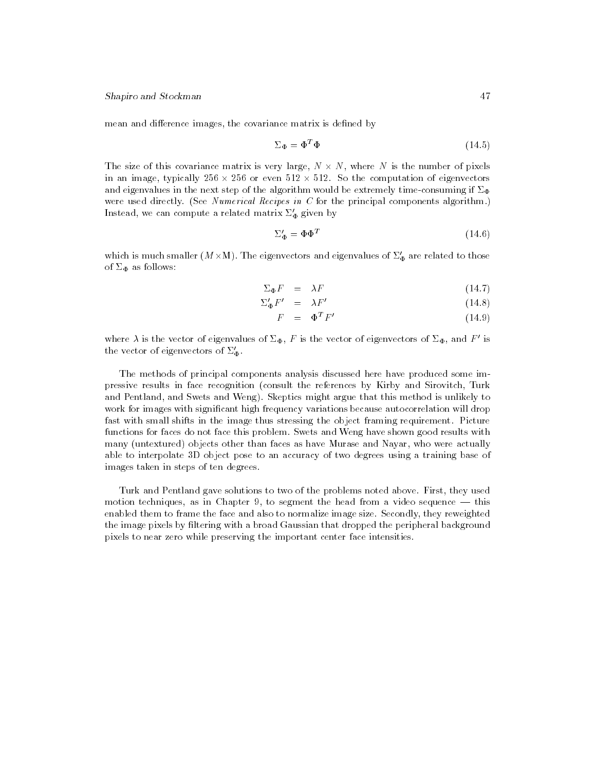mean and difference images, the covariance matrix is defined by

$$
\Sigma_{\Phi} = \Phi^T \Phi \tag{14.5}
$$

The size of this covariance matrix is very large, N  $N$  is very large, N  $N$  is the number of pixels of pixels  $N$ in an image, typically 256  $\times$  256 or even 512  $\times$  512. So the computation of eigenvectors and eigenvalues in the next step of the algorithm would be extremely time-consuming if  $\Sigma_{\Phi}$ were used directly. (See Numerical Recipes in C for the principal components algorithm.) Instead, we can compute a related matrix  $\Sigma_{\Phi}'$  given by

$$
\Sigma_{\Phi}' = \Phi \Phi^T \tag{14.6}
$$

which is much smaller  $(M \times M)$ . The eigenvectors and eigenvalues of  $\Delta_{\Phi}$  are related to those of  $\Sigma_{\Phi}$  as follows:

$$
\Sigma_{\Phi} F = \lambda F \tag{14.7}
$$

$$
\Sigma_{\Phi}' F' = \lambda F' \tag{14.8}
$$

$$
F = \Phi^T F' \tag{14.9}
$$

where  $\lambda$  is the vector of eigenvalues of  $\Sigma_{\Phi}$ , F is the vector of eigenvectors of  $\Sigma_{\Phi}$ , and F' is the vector of eigenvectors of  $\Sigma_{\Phi}'$ .

The methods of principal components analysis discussed here have produced some impressive results in face recognition (consult the references by Kirby and Sirovitch, Turk and Pentland, and Swets and Weng). Skeptics might argue that this method is unlikely to work for images with signicant high frequency variations because autocorrelation will drop fast with small shifts in the image thus stressing the object framing requirement. Picture functions for faces do not face this problem. Swets and Weng have shown good results with many (untextured) objects other than faces as have Murase and Nayar, who were actually able to interpolate 3D object pose to an accuracy of two degrees using a training base of images taken in steps of ten degrees.

Turk and Pentland gave solutions to two of the problems noted above. First, they used motion techniques, as in Chapter 9, to segment the head from a video sequence  $-$  this enabled them to frame the face and also to normalize image size. Secondly, they reweighted the image pixels by ltering with a broad Gaussian that dropped the peripheral background pixels to near zero while preserving the important center face intensities.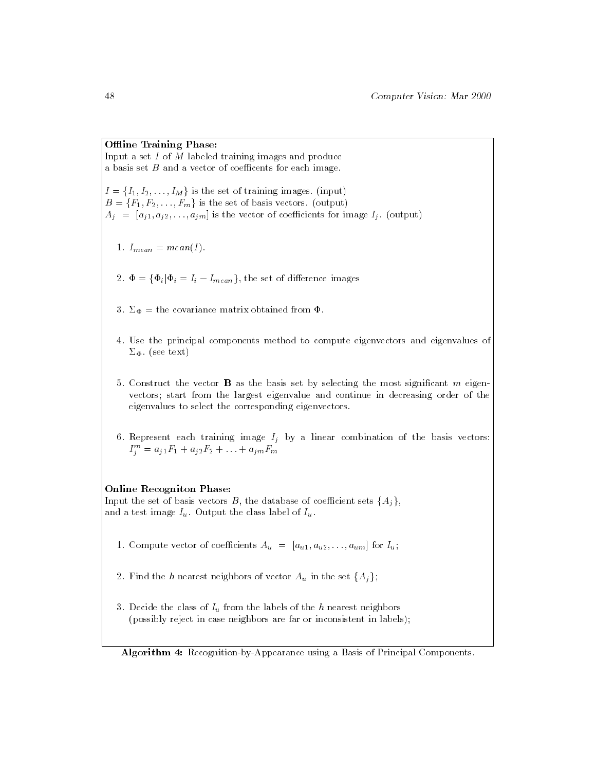# Offline Training Phase:

Input a set I of M labeled training images and produce a basis set  $B$  and a vector of coefficents for each image.

 $B = \{F_1, F_2, \ldots, F_m\}$  is the set of basis vectors. (output)  $A_i = [a_{i1}, a_{i2}, \ldots, a_{im}]$  is the vector of coefficients for image  $I_i$ . (output)

- 1. International contracts and international contracts and international contracts and international contracts
- 2. = fiji <sup>=</sup> Ii Imeang, the set of dierence images
- 3.  $\Sigma_{\Phi}$  = the covariance matrix obtained from  $\Phi$ .
- 4. Use the principal components method to compute eigenvectors and eigenvalues of  $\Sigma_{\Phi}$ . (see text)
- 5. Construct the vector **B** as the basis set by selecting the most significant  $m$  eigenvectors; start from the largest eigenvalue and continue in decreasing order of the eigenvalues to select the corresponding eigenvectors.
- $I_j^m = a_{j1}F_1 + a_{j2}F_2 + \ldots + a_{j m}F_m$

### Online Recogniton Phase:

and a test image  $I_u$ . Output the class label of  $I_u$ .

- 1. Compute vector of coecients Au = [au1; au2; : : :;aum] for Iu;
- $\overline{C}$  and the set f $\overline{C}$  in the set of vector  $\overline{C}$
- $\alpha$  belief the class of  $\alpha$  in the h nearest nearest nearest nearest nearest nearest nearest nearest nearest nearest nearest nearest nearest nearest nearest nearest nearest nearest nearest nearest nearest nearest neares (possibly reject in case neighbors are far or inconsistent in labels);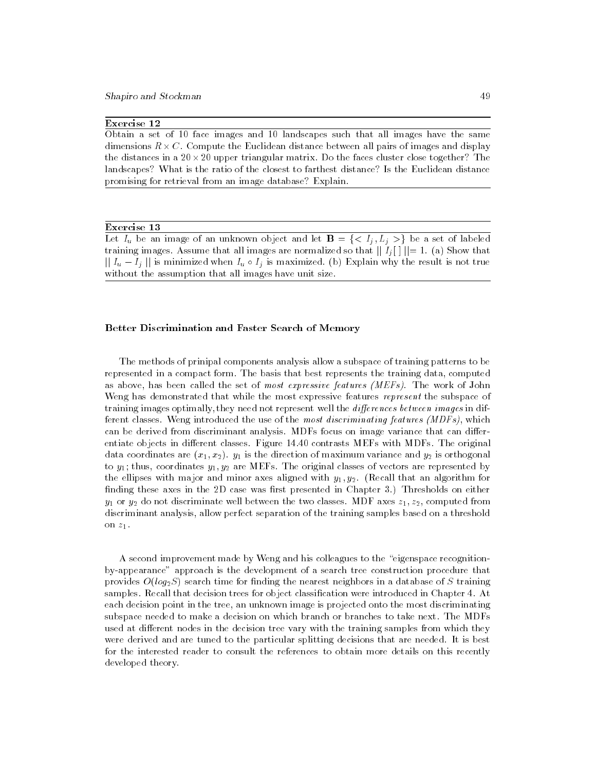## Exercise 12

Obtain a set of 10 face images and 10 landscapes such that all images have the same dimensions R C. Compute the Euclidean distance between all pairs of images and display the distances in a 20 × 20 upper triangular matrix. Do the faces cluster close together? The landscapes? What is the ratio of the closest to farthest distance? Is the Euclidean distance promising for retrieval from an image database? Explain.

### Exercise 13

Let  $I_u$  be an image of an unknown object and let  $\mathbf{B} = \{ \langle I_i, L_i \rangle \}$  be a set of labeled training images. Assume that all images are normalized so that  $||I_i|| = 1$ . (a) Show that  $||I_u - I_j||$  is minimized when  $I_u \circ I_j$  is maximized. (b) Explain why the result is not true  $\frac{1}{2}$  is  $\frac{1}{2}$  in  $\frac{1}{2}$  is not the assumption that all images have unit size.

#### Better Discrimination and Faster Search of Memory

The methods of prinipal components analysis allow a subspace of training patterns to be represented in a compact form. The basis that best represents the training data, computed as above, has been called the set of most expressive features (MEFs). The work of John Weng has demonstrated that while the most expressive features represent the subspace of training images optimally, they need not represent well the *differences between images* in different classes. Weng introduced the use of the most discriminating features (MDFs), which can be derived from discriminant analysis. MDFs focus on image variance that can differentiate objects in different classes. Figure 14.40 contrasts MEFs with MDFs. The original data coordinates are  $(x_1, x_2)$ .  $y_1$  is the direction of maximum variance and  $y_2$  is orthogonal to  $y_1$ ; thus, coordinates  $y_1, y_2$  are MEFs. The original classes of vectors are represented by the ellipses with major and minor axes aligned with  $y_1, y_2$ . (Recall that an algorithm for finding these axes in the  $2D$  case was first presented in Chapter 3.) Thresholds on either  $y_1$  or  $y_2$  do not discriminate well between the two classes. MDF axes  $z_1, z_2$ , computed from discriminant analysis, allow perfect separation of the training samples based on a threshold on  $z_1$ .

A second improvement made by Weng and his colleagues to the "eigenspace recognitionby-appearance" approach is the development of a search tree construction procedure that provides  $O(log_2S)$  search time for finding the nearest neighbors in a database of S training samples. Recall that decision trees for object classification were introduced in Chapter 4. At each decision point in the tree, an unknown image is projected onto the most discriminating subspace needed to make a decision on which branch or branches to take next. The MDFs used at different nodes in the decision tree vary with the training samples from which they were derived and are tuned to the particular splitting decisions that are needed. It is best for the interested reader to consult the references to obtain more details on this recently developed theory.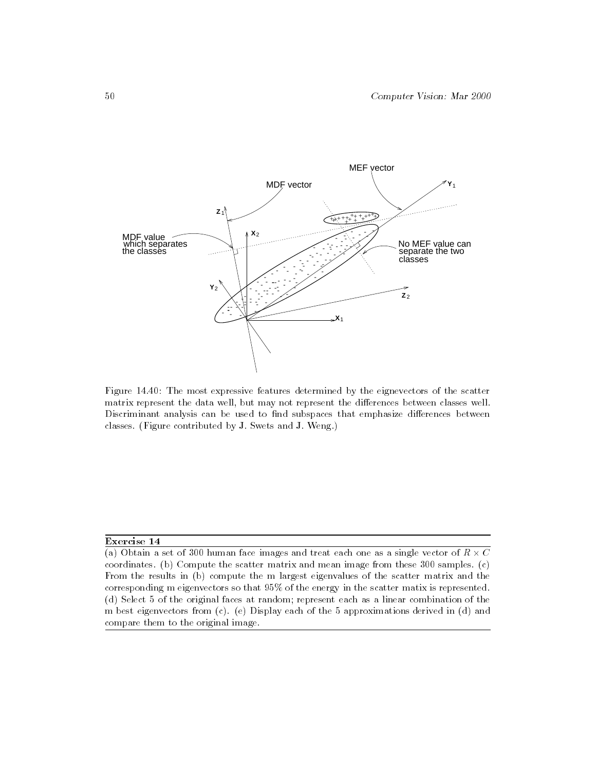

Figure 14.40: The most expressive features determined by the eignevectors of the scatter matrix represent the data well, but may not represent the differences between classes well. Discriminant analysis can be used to find subspaces that emphasize differences between classes. (Figure contributed by J. Swets and J. Weng.)

### Exercise 14

<sup>(</sup>a) Obtain a set of 300 human face images and treat each one as a single vector of R C -coordinates. (b) Compute the scatter matrix and mean image from these 300 samples. (c) From the results in (b) compute the m largest eigenvalues of the scatter matrix and the corresponding m eigenvectors so that 95% of the energy in the scatter matix is represented. (d) Select 5 of the original faces at random; represent each as a linear combination of the m best eigenvectors from (c). (e) Display each of the 5 approximations derived in (d) and compare them to the original image.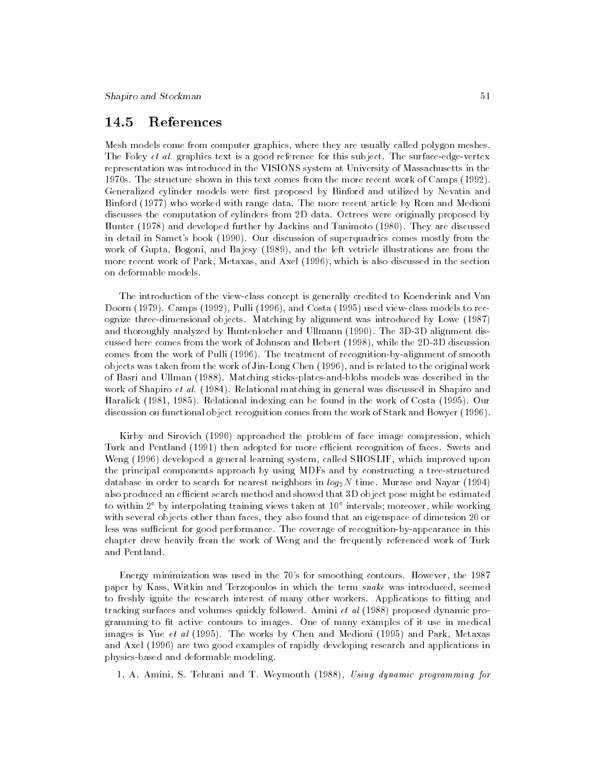#### 14.5References

Mesh models come from computer graphics, where they are usually called polygon meshes. The Foley *et al.* graphics text is a good reference for this subject. The surface-edge-vertex representation was introduced in the VISIONS system at University of Massachusetts in the 1970s. The structure shown in this text comes from the more recent work of Camps (1992). Generalized cylinder models were first proposed by Binford and utilized by Nevatia and Binford (1977) who worked with range data. The more recent article by Rom and Medioni discusses the computation of cylinders from 2D data. Octrees were originally proposed by Hunter (1978) and developed further by Jackins and Tanimoto (1980). They are discussed in detail in Samet's book (1990). Our discussion of superquadrics comes mostly from the work of Gupta, Bogoni, and Bajcsy (1989), and the left vetricle illustrations are from the more recent work of Park, Metaxas, and Axel (1996), which is also discussed in the section on deformable models.

The introduction of the view-class concept is generally credited to Koenderink and Van Doorn (1979). Camps (1992), Pulli (1996), and Costa (1995) used view-class models to recognize three-dimensional objects. Matching by alignment was introduced by Lowe (1987) and thoroughly analyzed by Huntenlocher and Ullmann (1990). The 3D-3D alignment discussed here comes from the work of Johnson and Hebert (1998), while the 2D-3D discussion comes from the work of Pulli (1996). The treatment of recognition-by-alignment of smooth objects was taken from the work of Jin-Long Chen (1996), and is related to the original work of Basri and Ullman (1988). Matching sticks-plates-and-blobs models was described in the work of Shapiro *et al.* (1984). Relational matching in general was discussed in Shapiro and Haralick (1981, 1985). Relational indexing can be found in the work of Costa (1995). Our discussion on functional object recognition comes from the work of Stark and Bowyer (1996).

Kirby and Sirovich (1990) approached the problem of face image compression, which Turk and Pentland (1991) then adopted for more efficient recognition of faces. Swets and Weng (1996) developed a general learning system, called SHOSLIF, which improved upon the principal components approach by using MDFs and by constructing a tree-structured database in order to search for nearest neighbors in  $log_2N$  time. Murase and Nayar (1994) also produced an efficient search method and showed that 3D object pose might be estimated to within 2 by interpolating training views taken at 10 intervals; moreover, while working with several objects other than faces, they also found that an eigenspace of dimension 20 or less was sufficient for good performance. The coverage of recognition-by-appearance in this chapter drew heavily from the work of Weng and the frequently referenced work of Turk and Pentland.

Energy minimization was used in the 70's for smoothing contours. However, the 1987 paper by Kass, Witkin and Terzopoulos in which the term snake was introduced, seemed to freshly ignite the research interest of many other workers. Applications to fitting and tracking surfaces and volumes quickly followed. Amini et al (1988) proposed dynamic programming to fit active contours to images. One of many examples of it use in medical images is Yue et al (1995). The works by Chen and Medioni (1995) and Park, Metaxas and Axel (1996) are two good examples of rapidly developing research and applications in physics-based and deformable modeling.

1. A. Amini, S. Tehrani and T. Weymouth (1988), Using dynamic programming for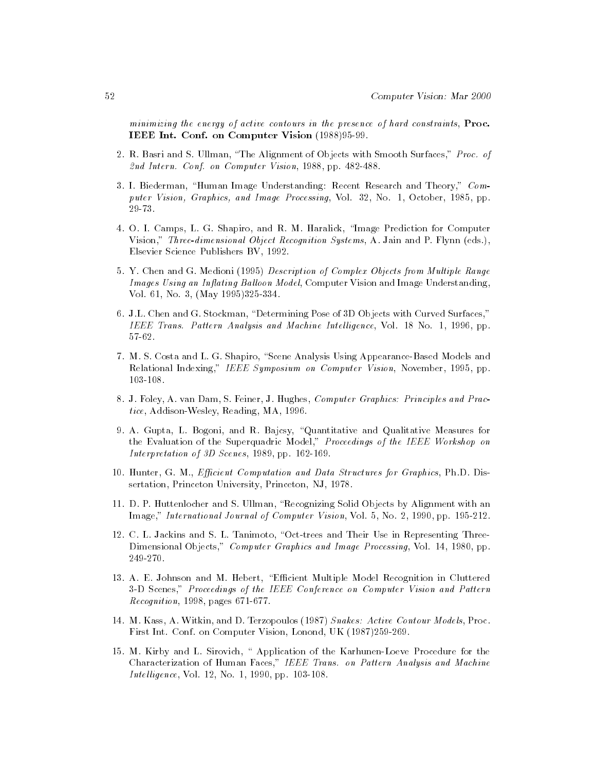minimizing the energy of active contours in the presence of hard constraints, Proc. IEEE Int. Conf. on Computer Vision (1988)95-99.

- 2. R. Basri and S. Ullman, \The Alignment of Objects with Smooth Surfaces," Proc. of 2nd Intern. Conf. on Computer Vision, 1988, pp. 482-488.
- 3. I. Biederman, "Human Image Understanding: Recent Research and Theory," Computer Vision, Graphics, and Image Processing, Vol. 32, No. 1, October, 1985, pp. 29-73.
- 4. O. I. Camps, L. G. Shapiro, and R. M. Haralick, \Image Prediction for Computer Vision," Three-dimensional Object Recognition Systems, A. Jain and P. Flynn (eds.), Elsevier Science Publishers BV, 1992.
- 5. Y. Chen and G. Medioni (1995) Description of Complex Objects from Multiple Range Images Using an Inflating Balloon Model, Computer Vision and Image Understanding, Vol. 61, No. 3, (May 1995)325-334.
- 6. J.L. Chen and G. Stockman, "Determining Pose of 3D Objects with Curved Surfaces," IEEE Trans. Pattern Analysis and Machine Intelligence, Vol. 18 No. 1, 1996, pp. 57-62.
- 7. M. S. Costa and L. G. Shapiro, "Scene Analysis Using Appearance-Based Models and Relational Indexing," IEEE Symposium on Computer Vision, November, 1995, pp. 103-108.
- 8. J. Foley, A. van Dam, S. Feiner, J. Hughes, Computer Graphics: Principles and Practice, Addison-Wesley, Reading, MA, 1996.
- 9. A. Gupta, L. Bogoni, and R. Bajcsy, "Quantitative and Qualitative Measures for the Evaluation of the Superquadric Model," Proceedings of the IEEE Workshop on Interpretation of 3D Scenes, 1989, pp. 162-169.
- 10. Hunter, G. M., Efficient Computation and Data Structures for Graphics, Ph.D. Dissertation, Princeton University, Princeton, NJ, 1978.
- 11. D. P. Huttenlocher and S. Ullman, \Recognizing Solid Objects by Alignment with an Image," International Journal of Computer Vision, Vol. 5, No. 2, 1990, pp. 195-212.
- 12. C. L. Jackins and S. L. Tanimoto, "Oct-trees and Their Use in Representing Three-Dimensional Objects," Computer Graphics and Image Processing, Vol. 14, 1980, pp. 249-270.
- 13. A. E. Johnson and M. Hebert, \Ecient Multiple Model Recognition in Cluttered 3-D Scenes," Proceedings of the IEEE Conference on Computer Vision and Pattern Recognition, 1998, pages 671-677.
- 14. M. Kass, A. Witkin, and D. Terzopoulos (1987) Snakes: Active Contour Models, Proc. First Int. Conf. on Computer Vision, Lonond, UK (1987)259-269.
- 15. M. Kirby and L. Sirovich, \ Application of the Karhunen-Loeve Procedure for the Characterization of Human Faces," IEEE Trans. on Pattern Analysis and Machine Intelligence, Vol. 12, No. 1, 1990, pp. 103-108.